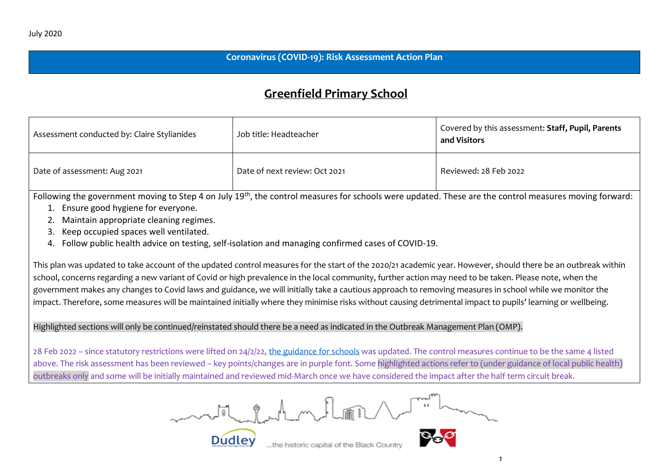### **Coronavirus (COVID-19): Risk Assessment Action Plan**

# **Greenfield Primary School**

| Assessment conducted by: Claire Stylianides | Job title: Headteacher        | <sup>1</sup> Covered by this assessment: <b>Staff, Pupil, Parents</b><br>and Visitors |
|---------------------------------------------|-------------------------------|---------------------------------------------------------------------------------------|
| Date of assessment: Aug 2021                | Date of next review: Oct 2021 | Reviewed: 28 Feb 2022                                                                 |

Following the government moving to Step 4 on July 19th, the control measures for schools were updated. These are the control measures moving forward:

- 1. Ensure good hygiene for everyone.
- 2. Maintain appropriate cleaning regimes.
- 3. Keep occupied spaces well ventilated.
- 4. Follow public health advice on testing, self-isolation and managing confirmed cases of COVID-19.

This plan was updated to take account of the updated control measures for the start of the 2020/21 academic year. However, should there be an outbreak within school, concerns regarding a new variant of Covid or high prevalence in the local community, further action may need to be taken. Please note, when the government makes any changes to Covid laws and guidance, we will initially take a cautious approach to removing measures in school while we monitor the impact. Therefore, some measures will be maintained initially where they minimise risks without causing detrimental impact to pupils' learning or wellbeing.

## Highlighted sections will only be continued/reinstated should there be a need as indicated in the Outbreak Management Plan (OMP).

28 Feb 2022 – since statutory restrictions were lifted on 24/2/22[, the guidance for schools](https://assets.publishing.service.gov.uk/government/uploads/system/uploads/attachment_data/file/1057106/220224_Schools_guidance.pdf) was updated. The control measures continue to be the same 4 listed above. The risk assessment has been reviewed – key points/changes are in purple font. Some highlighted actions refer to (under guidance of local public health) outbreaks only and some will be initially maintained and reviewed mid-March once we have considered the impact after the half term circuit break.

motel molecular de mot

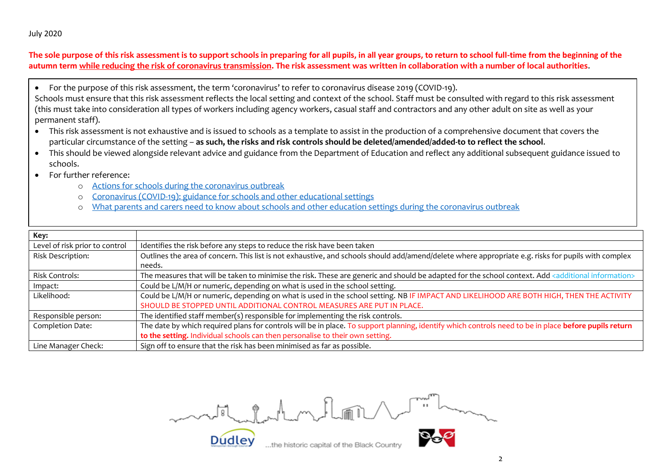#### July 2020

The sole purpose of this risk assessment is to support schools in preparing for all pupils, in all year groups, to return to school full-time from the beginning of the **autumn term while reducing the risk of coronavirus transmission. The risk assessment was written in collaboration with a number of local authorities**.

• For the purpose of this risk assessment, the term 'coronavirus' to refer to coronavirus disease 2019 (COVID-19).

Schools must ensure that this risk assessment reflects the local setting and context of the school. Staff must be consulted with regard to this risk assessment (this must take into consideration all types of workers including agency workers, casual staff and contractors and any other adult on site as well as your permanent staff).

- This risk assessment is not exhaustive and is issued to schools as a template to assist in the production of a comprehensive document that covers the particular circumstance of the setting – **as such, the risks and risk controls should be deleted/amended/added-to to reflect the school**.
- This should be viewed alongside relevant advice and guidance from the Department of Education and reflect any additional subsequent guidance issued to schools.
- For further reference:
	- o [Actions for schools during the coronavirus outbreak](https://www.gov.uk/government/publications/actions-for-schools-during-the-coronavirus-outbreak?utm_source=20%20July%202020%20C19&utm_medium=Daily%20Email%20C19&utm_campaign=DfE%20C19)
	- o [Coronavirus \(COVID-19\): guidance for schools and other educational settings](https://www.gov.uk/government/collections/coronavirus-covid-19-guidance-for-schools-and-other-educational-settings)
	- o [What parents and carers need to know about schools and other education settings during the coronavirus outbreak](https://www.gov.uk/government/publications/closure-of-educational-settings-information-for-parents-and-carers)

| Key:                           |                                                                                                                                                                    |
|--------------------------------|--------------------------------------------------------------------------------------------------------------------------------------------------------------------|
| Level of risk prior to control | Identifies the risk before any steps to reduce the risk have been taken                                                                                            |
| Risk Description:              | Outlines the area of concern. This list is not exhaustive, and schools should add/amend/delete where appropriate e.g. risks for pupils with complex                |
|                                | needs.                                                                                                                                                             |
| <b>Risk Controls:</b>          | The measures that will be taken to minimise the risk. These are generic and should be adapted for the school context. Add <additional information=""></additional> |
| Impact:                        | Could be L/M/H or numeric, depending on what is used in the school setting.                                                                                        |
| Likelihood:                    | Could be L/M/H or numeric, depending on what is used in the school setting. NB IF IMPACT AND LIKELIHOOD ARE BOTH HIGH, THEN THE ACTIVITY                           |
|                                | SHOULD BE STOPPED UNTIL ADDITIONAL CONTROL MEASURES ARE PUT IN PLACE.                                                                                              |
| Responsible person:            | The identified staff member(s) responsible for implementing the risk controls.                                                                                     |
| Completion Date:               | The date by which required plans for controls will be in place. To support planning, identify which controls need to be in place before pupils return              |
|                                | to the setting. Individual schools can then personalise to their own setting.                                                                                      |
| Line Manager Check:            | Sign off to ensure that the risk has been minimised as far as possible.                                                                                            |

motifuladam, Parti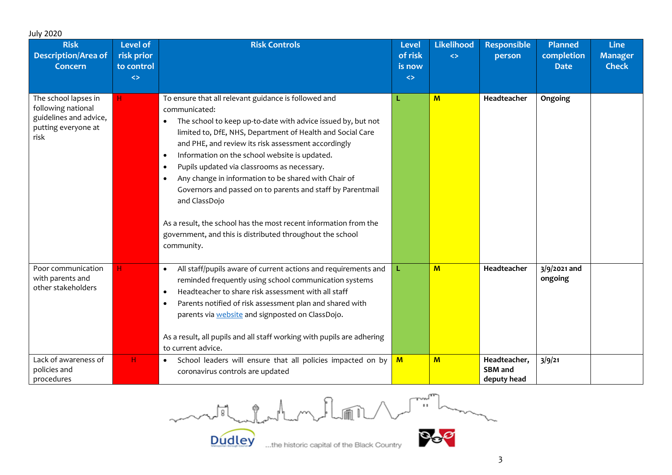| <b>July 2020</b>                                                                                    |                                                                  |                                                                                                                                                                                                                                                                                                                                                                                                                                                                                                                                                                                                                                                                                         |                                                 |                                        |                                               |                                             |                                        |
|-----------------------------------------------------------------------------------------------------|------------------------------------------------------------------|-----------------------------------------------------------------------------------------------------------------------------------------------------------------------------------------------------------------------------------------------------------------------------------------------------------------------------------------------------------------------------------------------------------------------------------------------------------------------------------------------------------------------------------------------------------------------------------------------------------------------------------------------------------------------------------------|-------------------------------------------------|----------------------------------------|-----------------------------------------------|---------------------------------------------|----------------------------------------|
| <b>Risk</b><br><b>Description/Area of</b><br><b>Concern</b>                                         | <b>Level of</b><br>risk prior<br>to control<br>$\leftrightarrow$ | <b>Risk Controls</b>                                                                                                                                                                                                                                                                                                                                                                                                                                                                                                                                                                                                                                                                    | Level<br>of risk<br>is now<br>$\leftrightarrow$ | <b>Likelihood</b><br>$\leftrightarrow$ | <b>Responsible</b><br>person                  | <b>Planned</b><br>completion<br><b>Date</b> | Line<br><b>Manager</b><br><b>Check</b> |
| The school lapses in<br>following national<br>guidelines and advice,<br>putting everyone at<br>risk | H                                                                | To ensure that all relevant guidance is followed and<br>communicated:<br>The school to keep up-to-date with advice issued by, but not<br>$\bullet$<br>limited to, DfE, NHS, Department of Health and Social Care<br>and PHE, and review its risk assessment accordingly<br>Information on the school website is updated.<br>$\bullet$<br>Pupils updated via classrooms as necessary.<br>Any change in information to be shared with Chair of<br>$\bullet$<br>Governors and passed on to parents and staff by Parentmail<br>and ClassDojo<br>As a result, the school has the most recent information from the<br>government, and this is distributed throughout the school<br>community. |                                                 | $M$                                    | Headteacher                                   | Ongoing                                     |                                        |
| Poor communication<br>with parents and<br>other stakeholders                                        | H.                                                               | All staff/pupils aware of current actions and requirements and<br>$\bullet$<br>reminded frequently using school communication systems<br>Headteacher to share risk assessment with all staff<br>$\bullet$<br>Parents notified of risk assessment plan and shared with<br>$\bullet$<br>parents via <b>website</b> and signposted on ClassDojo.<br>As a result, all pupils and all staff working with pupils are adhering<br>to current advice.                                                                                                                                                                                                                                           | L                                               | M                                      | Headteacher                                   | $3/9/2021$ and<br>ongoing                   |                                        |
| Lack of awareness of<br>policies and<br>procedures                                                  | н.                                                               | School leaders will ensure that all policies impacted on by<br>$\bullet$<br>coronavirus controls are updated                                                                                                                                                                                                                                                                                                                                                                                                                                                                                                                                                                            | M                                               | M                                      | Headteacher,<br><b>SBM</b> and<br>deputy head | 3/9/21                                      |                                        |

 $\sum_{i=1}^{n} \frac{1}{i} \sum_{j=1}^{n} \frac{1}{j} \sum_{j=1}^{n} \frac{1}{j} \sum_{j=1}^{n} \frac{1}{j} \sum_{j=1}^{n} \frac{1}{j} \sum_{j=1}^{n} \frac{1}{j} \sum_{j=1}^{n} \frac{1}{j} \sum_{j=1}^{n} \frac{1}{j} \sum_{j=1}^{n} \frac{1}{j} \sum_{j=1}^{n} \frac{1}{j} \sum_{j=1}^{n} \frac{1}{j} \sum_{j=1}^{n} \frac{1}{j} \sum_{j=1}^{n} \frac{1}{j$ month for the Manuflor

Dudley

 $\overline{3}$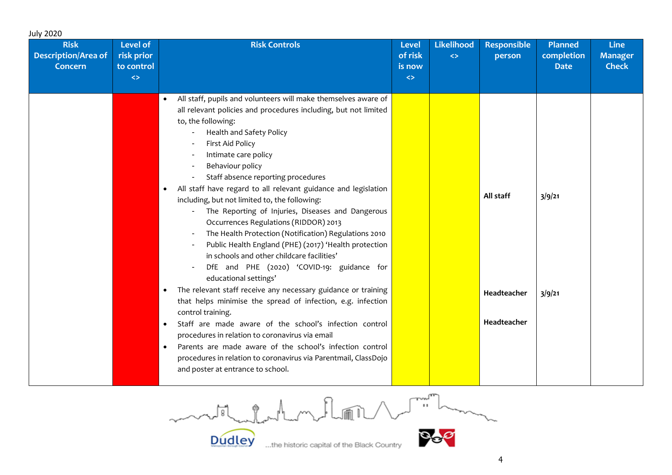| <b>July 2020</b>                                            |                                                           |                                                                                                                                                                                                                                                                                                                                                                                                                                                                                                                                                                                                                                                                                                                                                                                                                                                                                                                                                                                                                                                                                                                                                                                                                                                          |                                                        |                                 |                                         |                                             |                                               |
|-------------------------------------------------------------|-----------------------------------------------------------|----------------------------------------------------------------------------------------------------------------------------------------------------------------------------------------------------------------------------------------------------------------------------------------------------------------------------------------------------------------------------------------------------------------------------------------------------------------------------------------------------------------------------------------------------------------------------------------------------------------------------------------------------------------------------------------------------------------------------------------------------------------------------------------------------------------------------------------------------------------------------------------------------------------------------------------------------------------------------------------------------------------------------------------------------------------------------------------------------------------------------------------------------------------------------------------------------------------------------------------------------------|--------------------------------------------------------|---------------------------------|-----------------------------------------|---------------------------------------------|-----------------------------------------------|
| <b>Risk</b><br><b>Description/Area of</b><br><b>Concern</b> | Level of<br>risk prior<br>to control<br>$\leftrightarrow$ | <b>Risk Controls</b>                                                                                                                                                                                                                                                                                                                                                                                                                                                                                                                                                                                                                                                                                                                                                                                                                                                                                                                                                                                                                                                                                                                                                                                                                                     | <b>Level</b><br>of risk<br>is now<br>$\leftrightarrow$ | Likelihood<br>$\Leftrightarrow$ | <b>Responsible</b><br>person            | <b>Planned</b><br>completion<br><b>Date</b> | <b>Line</b><br><b>Manager</b><br><b>Check</b> |
|                                                             |                                                           | All staff, pupils and volunteers will make themselves aware of<br>$\bullet$<br>all relevant policies and procedures including, but not limited<br>to, the following:<br>Health and Safety Policy<br>First Aid Policy<br>Intimate care policy<br>Behaviour policy<br>Staff absence reporting procedures<br>All staff have regard to all relevant guidance and legislation<br>$\bullet$<br>including, but not limited to, the following:<br>The Reporting of Injuries, Diseases and Dangerous<br>Occurrences Regulations (RIDDOR) 2013<br>The Health Protection (Notification) Regulations 2010<br>Public Health England (PHE) (2017) 'Health protection<br>in schools and other childcare facilities'<br>DfE and PHE (2020) 'COVID-19: guidance for<br>educational settings'<br>The relevant staff receive any necessary guidance or training<br>$\bullet$<br>that helps minimise the spread of infection, e.g. infection<br>control training.<br>Staff are made aware of the school's infection control<br>$\bullet$<br>procedures in relation to coronavirus via email<br>Parents are made aware of the school's infection control<br>$\bullet$<br>procedures in relation to coronavirus via Parentmail, ClassDojo<br>and poster at entrance to school. |                                                        |                                 | All staff<br>Headteacher<br>Headteacher | 3/9/21<br>3/9/21                            |                                               |

 $\begin{picture}(220,20) \put(0,0){\line(1,0){10}} \put(15,0){\line(1,0){10}} \put(15,0){\line(1,0){10}} \put(15,0){\line(1,0){10}} \put(15,0){\line(1,0){10}} \put(15,0){\line(1,0){10}} \put(15,0){\line(1,0){10}} \put(15,0){\line(1,0){10}} \put(15,0){\line(1,0){10}} \put(15,0){\line(1,0){10}} \put(15,0){\line(1,0){10}} \put(15,0){\line($ model and my flow

**Dudley** 

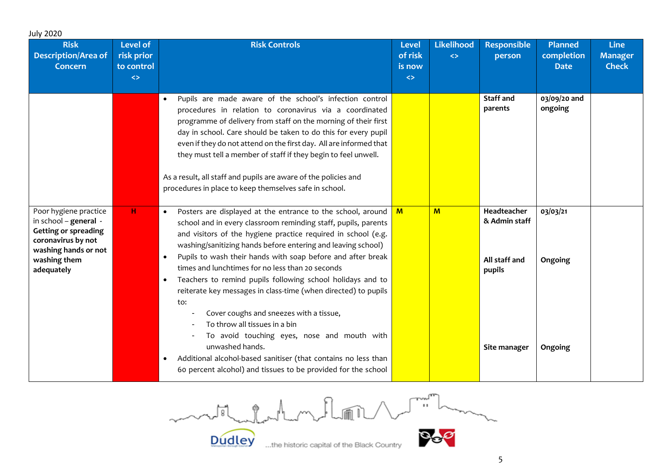| <b>July 2020</b>                                                                                                                                          |                                                                  |                                                                                                                                                                                                                                                                                                                                                                                                                                                                                                                                                                                                                                                                                                                                                                                                                                                               |                                                        |                                        |                                                                         |                                             |                                               |
|-----------------------------------------------------------------------------------------------------------------------------------------------------------|------------------------------------------------------------------|---------------------------------------------------------------------------------------------------------------------------------------------------------------------------------------------------------------------------------------------------------------------------------------------------------------------------------------------------------------------------------------------------------------------------------------------------------------------------------------------------------------------------------------------------------------------------------------------------------------------------------------------------------------------------------------------------------------------------------------------------------------------------------------------------------------------------------------------------------------|--------------------------------------------------------|----------------------------------------|-------------------------------------------------------------------------|---------------------------------------------|-----------------------------------------------|
| <b>Risk</b><br><b>Description/Area of</b><br><b>Concern</b>                                                                                               | <b>Level of</b><br>risk prior<br>to control<br>$\Leftrightarrow$ | <b>Risk Controls</b>                                                                                                                                                                                                                                                                                                                                                                                                                                                                                                                                                                                                                                                                                                                                                                                                                                          | <b>Level</b><br>of risk<br>is now<br>$\Leftrightarrow$ | <b>Likelihood</b><br>$\leftrightarrow$ | <b>Responsible</b><br>person                                            | <b>Planned</b><br>completion<br><b>Date</b> | <b>Line</b><br><b>Manager</b><br><b>Check</b> |
|                                                                                                                                                           |                                                                  | Pupils are made aware of the school's infection control<br>$\bullet$<br>procedures in relation to coronavirus via a coordinated<br>programme of delivery from staff on the morning of their first<br>day in school. Care should be taken to do this for every pupil<br>even if they do not attend on the first day. All are informed that<br>they must tell a member of staff if they begin to feel unwell.<br>As a result, all staff and pupils are aware of the policies and<br>procedures in place to keep themselves safe in school.                                                                                                                                                                                                                                                                                                                      |                                                        |                                        | <b>Staff and</b><br>parents                                             | 03/09/20 and<br>ongoing                     |                                               |
| Poor hygiene practice<br>in school - general -<br><b>Getting or spreading</b><br>coronavirus by not<br>washing hands or not<br>washing them<br>adequately | н.                                                               | Posters are displayed at the entrance to the school, around<br>$\bullet$<br>school and in every classroom reminding staff, pupils, parents<br>and visitors of the hygiene practice required in school (e.g.<br>washing/sanitizing hands before entering and leaving school)<br>Pupils to wash their hands with soap before and after break<br>$\bullet$<br>times and lunchtimes for no less than 20 seconds<br>Teachers to remind pupils following school holidays and to<br>$\bullet$<br>reiterate key messages in class-time (when directed) to pupils<br>to:<br>Cover coughs and sneezes with a tissue,<br>To throw all tissues in a bin<br>To avoid touching eyes, nose and mouth with<br>unwashed hands.<br>Additional alcohol-based sanitiser (that contains no less than<br>$\bullet$<br>60 percent alcohol) and tissues to be provided for the school | $M$                                                    | $M$                                    | Headteacher<br>& Admin staff<br>All staff and<br>pupils<br>Site manager | 03/03/21<br>Ongoing<br>Ongoing              |                                               |

 $\begin{picture}(220,20) \put(0,0){\line(1,0){10}} \put(15,0){\line(1,0){10}} \put(15,0){\line(1,0){10}} \put(15,0){\line(1,0){10}} \put(15,0){\line(1,0){10}} \put(15,0){\line(1,0){10}} \put(15,0){\line(1,0){10}} \put(15,0){\line(1,0){10}} \put(15,0){\line(1,0){10}} \put(15,0){\line(1,0){10}} \put(15,0){\line(1,0){10}} \put(15,0){\line($ model chatham flow Dudley **Po** 

 $\overline{5}$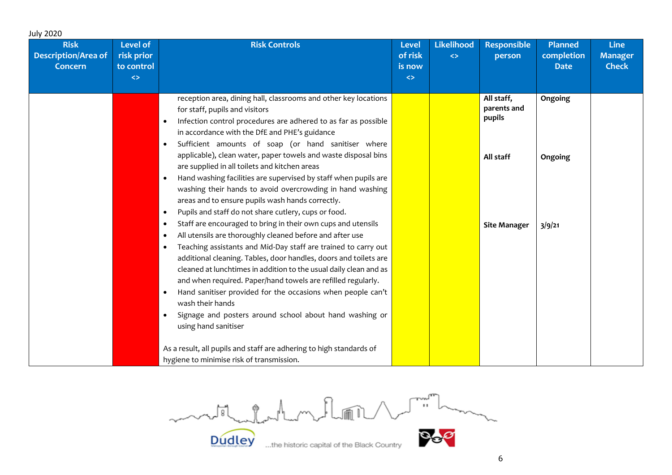| <b>July 2020</b>                                            |                                                                  |                                                                                                                                                                                                                                                                                                                                                                                                                                                                                                                                                                             |                                                        |                                                   |                                                  |                                             |                                               |
|-------------------------------------------------------------|------------------------------------------------------------------|-----------------------------------------------------------------------------------------------------------------------------------------------------------------------------------------------------------------------------------------------------------------------------------------------------------------------------------------------------------------------------------------------------------------------------------------------------------------------------------------------------------------------------------------------------------------------------|--------------------------------------------------------|---------------------------------------------------|--------------------------------------------------|---------------------------------------------|-----------------------------------------------|
| <b>Risk</b><br><b>Description/Area of</b><br><b>Concern</b> | <b>Level of</b><br>risk prior<br>to control<br>$\leftrightarrow$ | <b>Risk Controls</b>                                                                                                                                                                                                                                                                                                                                                                                                                                                                                                                                                        | <b>Level</b><br>of risk<br>is now<br>$\Leftrightarrow$ | <b>Likelihood</b><br>$\left\langle \right\rangle$ | <b>Responsible</b><br>person                     | <b>Planned</b><br>completion<br><b>Date</b> | <b>Line</b><br><b>Manager</b><br><b>Check</b> |
|                                                             |                                                                  | reception area, dining hall, classrooms and other key locations<br>for staff, pupils and visitors<br>Infection control procedures are adhered to as far as possible<br>in accordance with the DfE and PHE's guidance<br>Sufficient amounts of soap (or hand sanitiser where<br>$\bullet$<br>applicable), clean water, paper towels and waste disposal bins                                                                                                                                                                                                                  |                                                        |                                                   | All staff,<br>parents and<br>pupils<br>All staff | Ongoing<br>Ongoing                          |                                               |
|                                                             |                                                                  | are supplied in all toilets and kitchen areas<br>Hand washing facilities are supervised by staff when pupils are<br>$\bullet$<br>washing their hands to avoid overcrowding in hand washing<br>areas and to ensure pupils wash hands correctly.<br>Pupils and staff do not share cutlery, cups or food.<br>٠                                                                                                                                                                                                                                                                 |                                                        |                                                   |                                                  |                                             |                                               |
|                                                             |                                                                  | Staff are encouraged to bring in their own cups and utensils<br>$\bullet$<br>All utensils are thoroughly cleaned before and after use<br>Teaching assistants and Mid-Day staff are trained to carry out<br>additional cleaning. Tables, door handles, doors and toilets are<br>cleaned at lunchtimes in addition to the usual daily clean and as<br>and when required. Paper/hand towels are refilled regularly.<br>Hand sanitiser provided for the occasions when people can't<br>wash their hands<br>Signage and posters around school about hand washing or<br>$\bullet$ |                                                        |                                                   | <b>Site Manager</b>                              | 3/9/21                                      |                                               |
|                                                             |                                                                  | using hand sanitiser<br>As a result, all pupils and staff are adhering to high standards of<br>hygiene to minimise risk of transmission.                                                                                                                                                                                                                                                                                                                                                                                                                                    |                                                        |                                                   |                                                  |                                             |                                               |

 $\sim$ model and my floor Box

**Dudley**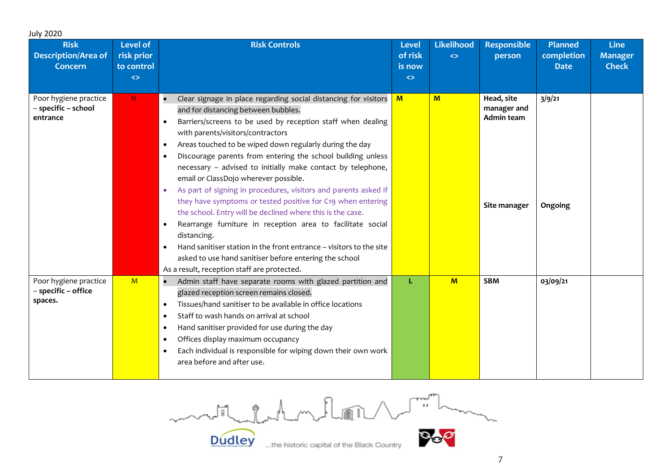| <b>July 2020</b><br><b>Risk</b><br><b>Description/Area of</b><br><b>Concern</b> | <b>Level of</b><br>risk prior<br>to control<br>$\Leftrightarrow$ | <b>Risk Controls</b>                                                                                                                                                                                                                                                                                                                                                                                                                                                                                                                                                                                                                                                                                                                                                                                                                                                                                                                                                       | <b>Level</b><br>of risk<br>is now<br>$\Leftrightarrow$ | <b>Likelihood</b><br>$\Leftrightarrow$ | <b>Responsible</b><br>person                            | <b>Planned</b><br>completion<br><b>Date</b> | <b>Line</b><br><b>Manager</b><br><b>Check</b> |
|---------------------------------------------------------------------------------|------------------------------------------------------------------|----------------------------------------------------------------------------------------------------------------------------------------------------------------------------------------------------------------------------------------------------------------------------------------------------------------------------------------------------------------------------------------------------------------------------------------------------------------------------------------------------------------------------------------------------------------------------------------------------------------------------------------------------------------------------------------------------------------------------------------------------------------------------------------------------------------------------------------------------------------------------------------------------------------------------------------------------------------------------|--------------------------------------------------------|----------------------------------------|---------------------------------------------------------|---------------------------------------------|-----------------------------------------------|
| Poor hygiene practice<br>- specific - school<br>entrance                        | $\mathsf{H}$                                                     | Clear signage in place regarding social distancing for visitors<br>and for distancing between bubbles.<br>Barriers/screens to be used by reception staff when dealing<br>$\bullet$<br>with parents/visitors/contractors<br>Areas touched to be wiped down regularly during the day<br>$\bullet$<br>Discourage parents from entering the school building unless<br>$\bullet$<br>necessary - advised to initially make contact by telephone,<br>email or ClassDojo wherever possible.<br>As part of signing in procedures, visitors and parents asked if<br>$\bullet$<br>they have symptoms or tested positive for C19 when entering<br>the school. Entry will be declined where this is the case.<br>Rearrange furniture in reception area to facilitate social<br>distancing.<br>Hand sanitiser station in the front entrance - visitors to the site<br>$\bullet$<br>asked to use hand sanitiser before entering the school<br>As a result, reception staff are protected. | $\mathbf{M}$                                           | M                                      | Head, site<br>manager and<br>Admin team<br>Site manager | 3/9/21<br>Ongoing                           |                                               |
| Poor hygiene practice<br>- specific - office<br>spaces.                         | M                                                                | Admin staff have separate rooms with glazed partition and<br>$\bullet$<br>glazed reception screen remains closed.<br>Tissues/hand sanitiser to be available in office locations<br>$\bullet$<br>Staff to wash hands on arrival at school<br>$\bullet$<br>Hand sanitiser provided for use during the day<br>Offices display maximum occupancy<br>Each individual is responsible for wiping down their own work<br>area before and after use.                                                                                                                                                                                                                                                                                                                                                                                                                                                                                                                                | L                                                      | $M$                                    | <b>SBM</b>                                              | 03/09/21                                    |                                               |

motil delatent en la port

**Dudley**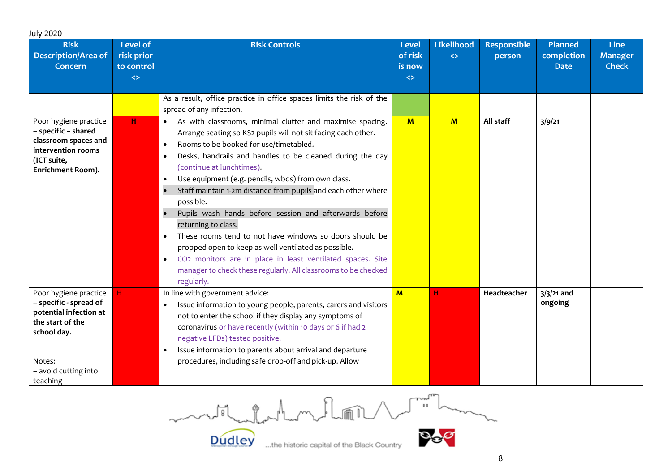| <b>July 2020</b><br><b>Risk</b><br><b>Description/Area of</b><br><b>Concern</b>                                                                            | <b>Level of</b><br>risk prior<br>to control<br>$\Leftrightarrow$ | <b>Risk Controls</b>                                                                                                                                                                                                                                                                                                                                                                                                                                                                                                                                                                                                                                                                                                                                                                                                                           | <b>Level</b><br>of risk<br>is now<br>$\Leftrightarrow$ | Likelihood<br>$\leftrightarrow$ | <b>Responsible</b><br>person | <b>Planned</b><br>completion<br><b>Date</b> | <b>Line</b><br><b>Manager</b><br><b>Check</b> |
|------------------------------------------------------------------------------------------------------------------------------------------------------------|------------------------------------------------------------------|------------------------------------------------------------------------------------------------------------------------------------------------------------------------------------------------------------------------------------------------------------------------------------------------------------------------------------------------------------------------------------------------------------------------------------------------------------------------------------------------------------------------------------------------------------------------------------------------------------------------------------------------------------------------------------------------------------------------------------------------------------------------------------------------------------------------------------------------|--------------------------------------------------------|---------------------------------|------------------------------|---------------------------------------------|-----------------------------------------------|
|                                                                                                                                                            |                                                                  | As a result, office practice in office spaces limits the risk of the<br>spread of any infection.                                                                                                                                                                                                                                                                                                                                                                                                                                                                                                                                                                                                                                                                                                                                               |                                                        |                                 |                              |                                             |                                               |
| Poor hygiene practice<br>- specific - shared<br>classroom spaces and<br>intervention rooms<br>(ICT suite,<br>Enrichment Room).                             | H                                                                | As with classrooms, minimal clutter and maximise spacing.<br>$\bullet$<br>Arrange seating so KS2 pupils will not sit facing each other.<br>Rooms to be booked for use/timetabled.<br>$\bullet$<br>Desks, handrails and handles to be cleaned during the day<br>$\bullet$<br>(continue at lunchtimes).<br>Use equipment (e.g. pencils, wbds) from own class.<br>$\bullet$<br>Staff maintain 1-2m distance from pupils and each other where<br>possible.<br>Pupils wash hands before session and afterwards before<br>returning to class.<br>These rooms tend to not have windows so doors should be<br>$\bullet$<br>propped open to keep as well ventilated as possible.<br>CO <sub>2</sub> monitors are in place in least ventilated spaces. Site<br>$\bullet$<br>manager to check these regularly. All classrooms to be checked<br>regularly. | M                                                      | $M$                             | All staff                    | 3/9/21                                      |                                               |
| Poor hygiene practice<br>- specific - spread of<br>potential infection at<br>the start of the<br>school day.<br>Notes:<br>- avoid cutting into<br>teaching | н                                                                | In line with government advice:<br>Issue information to young people, parents, carers and visitors<br>not to enter the school if they display any symptoms of<br>coronavirus or have recently (within 10 days or 6 if had 2<br>negative LFDs) tested positive.<br>Issue information to parents about arrival and departure<br>$\bullet$<br>procedures, including safe drop-off and pick-up. Allow                                                                                                                                                                                                                                                                                                                                                                                                                                              | $M$                                                    | н                               | Headteacher                  | $3/3/21$ and<br>ongoing                     |                                               |

month for the methods  $\sim$ 

Dudley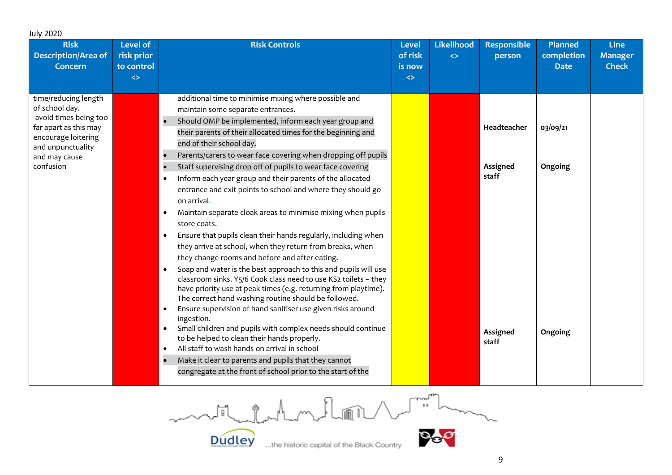| <b>July 2020</b>                                                                                                                                                    |                                                           |                                                                                                                                                                                                                                                                                                                                                                                                                                                                                                                                                                                                                                                                                                                                                                                                                                                                                                                                                                                                                                                                                                                                                                                                                                                                                                                                                                                                                                                                            |                                                        |                                        |                                                       |                                             |                                               |
|---------------------------------------------------------------------------------------------------------------------------------------------------------------------|-----------------------------------------------------------|----------------------------------------------------------------------------------------------------------------------------------------------------------------------------------------------------------------------------------------------------------------------------------------------------------------------------------------------------------------------------------------------------------------------------------------------------------------------------------------------------------------------------------------------------------------------------------------------------------------------------------------------------------------------------------------------------------------------------------------------------------------------------------------------------------------------------------------------------------------------------------------------------------------------------------------------------------------------------------------------------------------------------------------------------------------------------------------------------------------------------------------------------------------------------------------------------------------------------------------------------------------------------------------------------------------------------------------------------------------------------------------------------------------------------------------------------------------------------|--------------------------------------------------------|----------------------------------------|-------------------------------------------------------|---------------------------------------------|-----------------------------------------------|
| <b>Risk</b><br><b>Description/Area of</b><br><b>Concern</b>                                                                                                         | Level of<br>risk prior<br>to control<br>$\leftrightarrow$ | <b>Risk Controls</b>                                                                                                                                                                                                                                                                                                                                                                                                                                                                                                                                                                                                                                                                                                                                                                                                                                                                                                                                                                                                                                                                                                                                                                                                                                                                                                                                                                                                                                                       | <b>Level</b><br>of risk<br>is now<br>$\Leftrightarrow$ | <b>Likelihood</b><br>$\Leftrightarrow$ | <b>Responsible</b><br>person                          | <b>Planned</b><br>completion<br><b>Date</b> | <b>Line</b><br><b>Manager</b><br><b>Check</b> |
| time/reducing length<br>of school day.<br>-avoid times being too<br>far apart as this may<br>encourage loitering<br>and unpunctuality<br>and may cause<br>confusion |                                                           | additional time to minimise mixing where possible and<br>maintain some separate entrances.<br>Should OMP be implemented, inform each year group and<br>their parents of their allocated times for the beginning and<br>end of their school day.<br>Parents/carers to wear face covering when dropping off pupils<br>Staff supervising drop off of pupils to wear face covering<br>Inform each year group and their parents of the allocated<br>entrance and exit points to school and where they should go<br>on arrival.<br>Maintain separate cloak areas to minimise mixing when pupils<br>store coats.<br>Ensure that pupils clean their hands regularly, including when<br>$\bullet$<br>they arrive at school, when they return from breaks, when<br>they change rooms and before and after eating.<br>Soap and water is the best approach to this and pupils will use<br>$\bullet$<br>classroom sinks. Y5/6 Cook class need to use KS2 toilets - they<br>have priority use at peak times (e.g. returning from playtime).<br>The correct hand washing routine should be followed.<br>Ensure supervision of hand sanitiser use given risks around<br>$\bullet$<br>ingestion.<br>Small children and pupils with complex needs should continue<br>to be helped to clean their hands properly.<br>All staff to wash hands on arrival in school<br>٠<br>Make it clear to parents and pupils that they cannot<br>congregate at the front of school prior to the start of the |                                                        |                                        | Headteacher<br>Assigned<br>staff<br>Assigned<br>staff | 03/09/21<br>Ongoing<br>Ongoing              |                                               |

 $\begin{picture}(220,20) \put(0,0){\line(1,0){10}} \put(15,0){\line(1,0){10}} \put(15,0){\line(1,0){10}} \put(15,0){\line(1,0){10}} \put(15,0){\line(1,0){10}} \put(15,0){\line(1,0){10}} \put(15,0){\line(1,0){10}} \put(15,0){\line(1,0){10}} \put(15,0){\line(1,0){10}} \put(15,0){\line(1,0){10}} \put(15,0){\line(1,0){10}} \put(15,0){\line($ month for the M **Dudley** 

...the historic capital of the Black Country

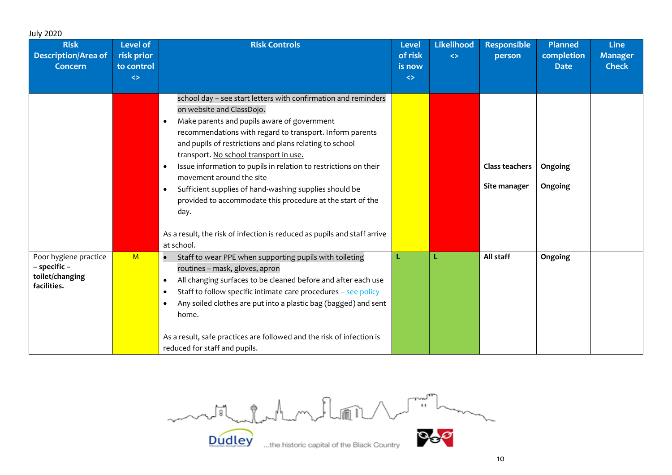| <b>July 2020</b>                                                        |                                                                  |                                                                                                                                                                                                                                                                                                                                                                                                                                                                                                                                                                                                                                                                              |                                                        |                                        |                                |                                             |                                               |
|-------------------------------------------------------------------------|------------------------------------------------------------------|------------------------------------------------------------------------------------------------------------------------------------------------------------------------------------------------------------------------------------------------------------------------------------------------------------------------------------------------------------------------------------------------------------------------------------------------------------------------------------------------------------------------------------------------------------------------------------------------------------------------------------------------------------------------------|--------------------------------------------------------|----------------------------------------|--------------------------------|---------------------------------------------|-----------------------------------------------|
| <b>Risk</b><br><b>Description/Area of</b><br><b>Concern</b>             | <b>Level of</b><br>risk prior<br>to control<br>$\leftrightarrow$ | <b>Risk Controls</b>                                                                                                                                                                                                                                                                                                                                                                                                                                                                                                                                                                                                                                                         | <b>Level</b><br>of risk<br>is now<br>$\leftrightarrow$ | <b>Likelihood</b><br>$\leftrightarrow$ | <b>Responsible</b><br>person   | <b>Planned</b><br>completion<br><b>Date</b> | <b>Line</b><br><b>Manager</b><br><b>Check</b> |
|                                                                         |                                                                  | school day - see start letters with confirmation and reminders<br>on website and ClassDojo.<br>Make parents and pupils aware of government<br>$\bullet$<br>recommendations with regard to transport. Inform parents<br>and pupils of restrictions and plans relating to school<br>transport. No school transport in use.<br>Issue information to pupils in relation to restrictions on their<br>$\bullet$<br>movement around the site<br>Sufficient supplies of hand-washing supplies should be<br>$\bullet$<br>provided to accommodate this procedure at the start of the<br>day.<br>As a result, the risk of infection is reduced as pupils and staff arrive<br>at school. |                                                        |                                        | Class teachers<br>Site manager | Ongoing<br>Ongoing                          |                                               |
| Poor hygiene practice<br>- specific -<br>toilet/changing<br>facilities. | M                                                                | Staff to wear PPE when supporting pupils with toileting<br>routines - mask, gloves, apron<br>All changing surfaces to be cleaned before and after each use<br>$\bullet$<br>Staff to follow specific intimate care procedures - see policy<br>$\bullet$<br>Any soiled clothes are put into a plastic bag (bagged) and sent<br>$\bullet$<br>home.<br>As a result, safe practices are followed and the risk of infection is<br>reduced for staff and pupils.                                                                                                                                                                                                                    |                                                        | L                                      | All staff                      | Ongoing                                     |                                               |

month for home flow Box **Dudley**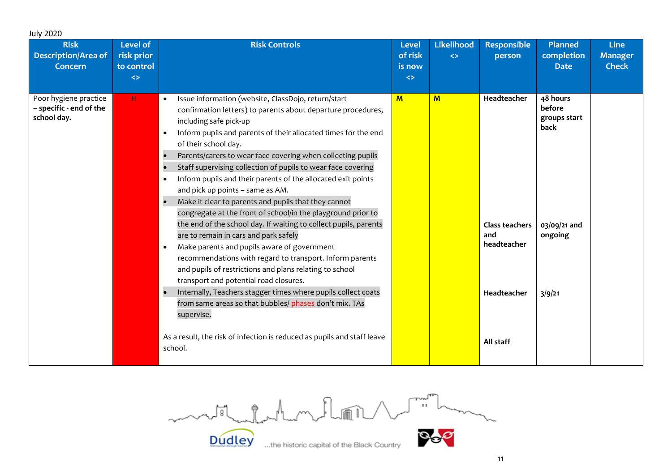| <b>July 2020</b>                                                |                                                                  |                                                                                                                                                                                                                                                                                                                                                                                                                                                                                                                                                                                                                                                                                                                                                                                                                                                                                                                                                                                                                                                                                                                                                                                                                                              |                                                        |                                        |                                                                                 |                                                                                 |                                               |
|-----------------------------------------------------------------|------------------------------------------------------------------|----------------------------------------------------------------------------------------------------------------------------------------------------------------------------------------------------------------------------------------------------------------------------------------------------------------------------------------------------------------------------------------------------------------------------------------------------------------------------------------------------------------------------------------------------------------------------------------------------------------------------------------------------------------------------------------------------------------------------------------------------------------------------------------------------------------------------------------------------------------------------------------------------------------------------------------------------------------------------------------------------------------------------------------------------------------------------------------------------------------------------------------------------------------------------------------------------------------------------------------------|--------------------------------------------------------|----------------------------------------|---------------------------------------------------------------------------------|---------------------------------------------------------------------------------|-----------------------------------------------|
| <b>Risk</b><br><b>Description/Area of</b><br><b>Concern</b>     | <b>Level of</b><br>risk prior<br>to control<br>$\leftrightarrow$ | <b>Risk Controls</b>                                                                                                                                                                                                                                                                                                                                                                                                                                                                                                                                                                                                                                                                                                                                                                                                                                                                                                                                                                                                                                                                                                                                                                                                                         | <b>Level</b><br>of risk<br>is now<br>$\Leftrightarrow$ | <b>Likelihood</b><br>$\leftrightarrow$ | <b>Responsible</b><br>person                                                    | <b>Planned</b><br>completion<br><b>Date</b>                                     | <b>Line</b><br><b>Manager</b><br><b>Check</b> |
| Poor hygiene practice<br>- specific - end of the<br>school day. | H                                                                | Issue information (website, ClassDojo, return/start<br>$\bullet$<br>confirmation letters) to parents about departure procedures,<br>including safe pick-up<br>Inform pupils and parents of their allocated times for the end<br>$\bullet$<br>of their school day.<br>Parents/carers to wear face covering when collecting pupils<br>$\bullet$<br>Staff supervising collection of pupils to wear face covering<br>Inform pupils and their parents of the allocated exit points<br>$\bullet$<br>and pick up points - same as AM.<br>Make it clear to parents and pupils that they cannot<br>$\bullet$<br>congregate at the front of school/in the playground prior to<br>the end of the school day. If waiting to collect pupils, parents<br>are to remain in cars and park safely<br>Make parents and pupils aware of government<br>$\bullet$<br>recommendations with regard to transport. Inform parents<br>and pupils of restrictions and plans relating to school<br>transport and potential road closures.<br>Internally, Teachers stagger times where pupils collect coats<br>from same areas so that bubbles/ phases don't mix. TAs<br>supervise.<br>As a result, the risk of infection is reduced as pupils and staff leave<br>school. | M                                                      | $M$                                    | Headteacher<br>Class teachers<br>and<br>headteacher<br>Headteacher<br>All staff | 48 hours<br>before<br>groups start<br>back<br>03/09/21 and<br>ongoing<br>3/9/21 |                                               |

modification floor de milion **Dudley**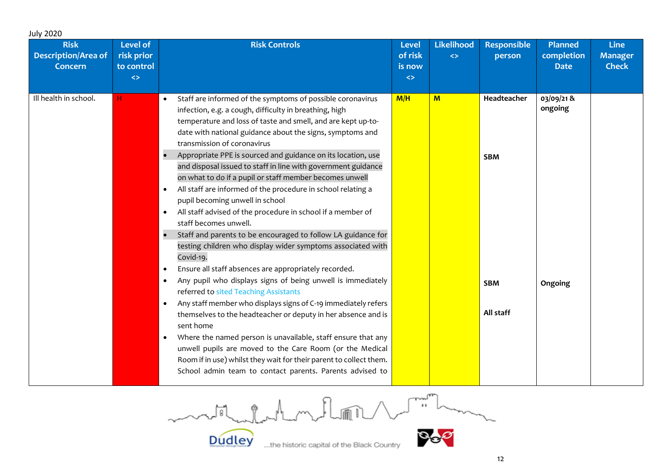| <b>July 2020</b>                                            |                                                                  |                                                                                                                                                                                                                                                                                                                                                                                                                                                                                                                                                                                                                                                                                                                                                                                                                                                                                                                                                                                                                                                                                                                                                                                                                                                                                                                                                                                                                                                                                               |                                                        |                                        |                                                      |                                             |                                               |
|-------------------------------------------------------------|------------------------------------------------------------------|-----------------------------------------------------------------------------------------------------------------------------------------------------------------------------------------------------------------------------------------------------------------------------------------------------------------------------------------------------------------------------------------------------------------------------------------------------------------------------------------------------------------------------------------------------------------------------------------------------------------------------------------------------------------------------------------------------------------------------------------------------------------------------------------------------------------------------------------------------------------------------------------------------------------------------------------------------------------------------------------------------------------------------------------------------------------------------------------------------------------------------------------------------------------------------------------------------------------------------------------------------------------------------------------------------------------------------------------------------------------------------------------------------------------------------------------------------------------------------------------------|--------------------------------------------------------|----------------------------------------|------------------------------------------------------|---------------------------------------------|-----------------------------------------------|
| <b>Risk</b><br><b>Description/Area of</b><br><b>Concern</b> | <b>Level of</b><br>risk prior<br>to control<br>$\leftrightarrow$ | <b>Risk Controls</b>                                                                                                                                                                                                                                                                                                                                                                                                                                                                                                                                                                                                                                                                                                                                                                                                                                                                                                                                                                                                                                                                                                                                                                                                                                                                                                                                                                                                                                                                          | <b>Level</b><br>of risk<br>is now<br>$\Leftrightarrow$ | <b>Likelihood</b><br>$\Leftrightarrow$ | <b>Responsible</b><br>person                         | <b>Planned</b><br>completion<br><b>Date</b> | <b>Line</b><br><b>Manager</b><br><b>Check</b> |
| Ill health in school.                                       | H.                                                               | Staff are informed of the symptoms of possible coronavirus<br>$\bullet$<br>infection, e.g. a cough, difficulty in breathing, high<br>temperature and loss of taste and smell, and are kept up-to-<br>date with national guidance about the signs, symptoms and<br>transmission of coronavirus<br>Appropriate PPE is sourced and guidance on its location, use<br>and disposal issued to staff in line with government guidance<br>on what to do if a pupil or staff member becomes unwell<br>All staff are informed of the procedure in school relating a<br>$\bullet$<br>pupil becoming unwell in school<br>All staff advised of the procedure in school if a member of<br>$\bullet$<br>staff becomes unwell.<br>Staff and parents to be encouraged to follow LA guidance for<br>testing children who display wider symptoms associated with<br>Covid-19.<br>Ensure all staff absences are appropriately recorded.<br>$\bullet$<br>Any pupil who displays signs of being unwell is immediately<br>$\bullet$<br>referred to sited Teaching Assistants<br>Any staff member who displays signs of C-19 immediately refers<br>$\bullet$<br>themselves to the headteacher or deputy in her absence and is<br>sent home<br>Where the named person is unavailable, staff ensure that any<br>$\bullet$<br>unwell pupils are moved to the Care Room (or the Medical<br>Room if in use) whilst they wait for their parent to collect them.<br>School admin team to contact parents. Parents advised to | M/H                                                    | $\mathbf{M}$                           | Headteacher<br><b>SBM</b><br><b>SBM</b><br>All staff | 03/09/21&<br>ongoing<br>Ongoing             |                                               |

model and my floor Norman OG.

**Dudley**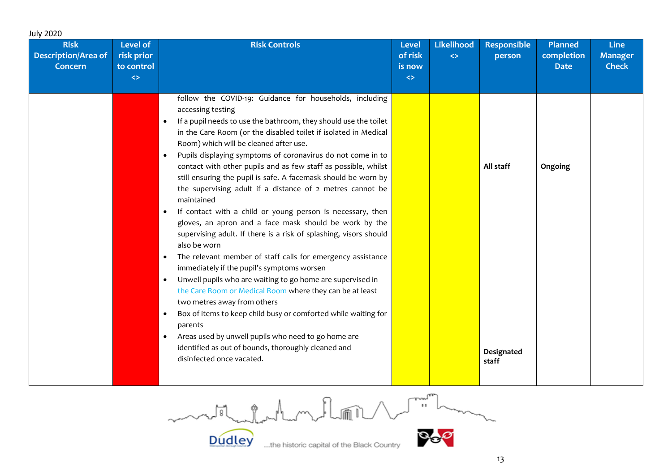| <b>July 2020</b>                                            |                                                                      |                                                                                                                                                                                                                                                                                                                                                                                                                                                                                                                                                                                                                                                                                                                                                                                                                                                                                                                                                                                                                                                                                                                                                                                                                                                                                                                                                   |                                                        |                                        |                                  |                                             |                                               |
|-------------------------------------------------------------|----------------------------------------------------------------------|---------------------------------------------------------------------------------------------------------------------------------------------------------------------------------------------------------------------------------------------------------------------------------------------------------------------------------------------------------------------------------------------------------------------------------------------------------------------------------------------------------------------------------------------------------------------------------------------------------------------------------------------------------------------------------------------------------------------------------------------------------------------------------------------------------------------------------------------------------------------------------------------------------------------------------------------------------------------------------------------------------------------------------------------------------------------------------------------------------------------------------------------------------------------------------------------------------------------------------------------------------------------------------------------------------------------------------------------------|--------------------------------------------------------|----------------------------------------|----------------------------------|---------------------------------------------|-----------------------------------------------|
| <b>Risk</b><br><b>Description/Area of</b><br><b>Concern</b> | Level of<br>risk prior<br>to control<br>$\left\langle \right\rangle$ | <b>Risk Controls</b>                                                                                                                                                                                                                                                                                                                                                                                                                                                                                                                                                                                                                                                                                                                                                                                                                                                                                                                                                                                                                                                                                                                                                                                                                                                                                                                              | <b>Level</b><br>of risk<br>is now<br>$\Leftrightarrow$ | <b>Likelihood</b><br>$\Leftrightarrow$ | <b>Responsible</b><br>person     | <b>Planned</b><br>completion<br><b>Date</b> | <b>Line</b><br><b>Manager</b><br><b>Check</b> |
|                                                             |                                                                      | follow the COVID-19: Guidance for households, including<br>accessing testing<br>If a pupil needs to use the bathroom, they should use the toilet<br>$\bullet$<br>in the Care Room (or the disabled toilet if isolated in Medical<br>Room) which will be cleaned after use.<br>Pupils displaying symptoms of coronavirus do not come in to<br>$\bullet$<br>contact with other pupils and as few staff as possible, whilst<br>still ensuring the pupil is safe. A facemask should be worn by<br>the supervising adult if a distance of 2 metres cannot be<br>maintained<br>If contact with a child or young person is necessary, then<br>$\bullet$<br>gloves, an apron and a face mask should be work by the<br>supervising adult. If there is a risk of splashing, visors should<br>also be worn<br>The relevant member of staff calls for emergency assistance<br>$\bullet$<br>immediately if the pupil's symptoms worsen<br>Unwell pupils who are waiting to go home are supervised in<br>$\bullet$<br>the Care Room or Medical Room where they can be at least<br>two metres away from others<br>Box of items to keep child busy or comforted while waiting for<br>$\bullet$<br>parents<br>Areas used by unwell pupils who need to go home are<br>$\bullet$<br>identified as out of bounds, thoroughly cleaned and<br>disinfected once vacated. |                                                        |                                        | All staff<br>Designated<br>staff | Ongoing                                     |                                               |

 $\begin{picture}(120,115) \put(150,115){\line(1,0){155}} \put(150,115){\line(1,0){155}} \put(150,115){\line(1,0){155}} \put(150,115){\line(1,0){155}} \put(150,115){\line(1,0){155}} \put(150,115){\line(1,0){155}} \put(150,115){\line(1,0){155}} \put(150,115){\line(1,0){155}} \put(150,115){\line(1,0){155}} \put(150,11$ model chatham flori

**Dudley** 

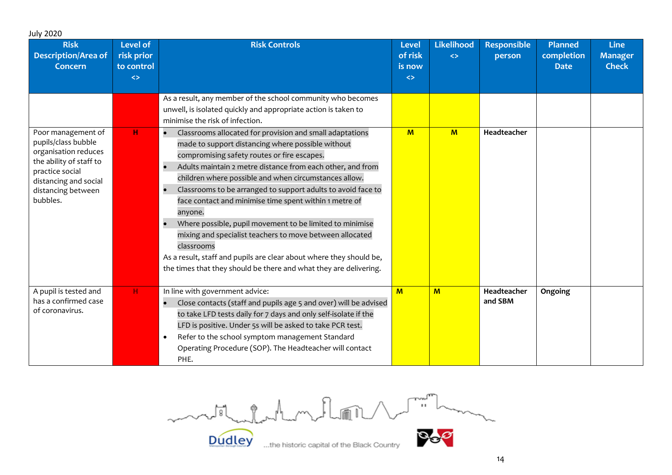| <b>July 2020</b><br><b>Risk</b>                                                                                                                                            | <b>Level of</b>                               | <b>Risk Controls</b>                                                                                                                                                                                                                                                                                                                                                                                                                                                                                                                                                                                                                                                                                                                 | <b>Level</b>                           | Likelihood        | <b>Responsible</b>     | <b>Planned</b>            | <b>Line</b>                    |
|----------------------------------------------------------------------------------------------------------------------------------------------------------------------------|-----------------------------------------------|--------------------------------------------------------------------------------------------------------------------------------------------------------------------------------------------------------------------------------------------------------------------------------------------------------------------------------------------------------------------------------------------------------------------------------------------------------------------------------------------------------------------------------------------------------------------------------------------------------------------------------------------------------------------------------------------------------------------------------------|----------------------------------------|-------------------|------------------------|---------------------------|--------------------------------|
| <b>Description/Area of</b><br><b>Concern</b>                                                                                                                               | risk prior<br>to control<br>$\leftrightarrow$ |                                                                                                                                                                                                                                                                                                                                                                                                                                                                                                                                                                                                                                                                                                                                      | of risk<br>is now<br>$\leftrightarrow$ | $\leftrightarrow$ | person                 | completion<br><b>Date</b> | <b>Manager</b><br><b>Check</b> |
|                                                                                                                                                                            |                                               |                                                                                                                                                                                                                                                                                                                                                                                                                                                                                                                                                                                                                                                                                                                                      |                                        |                   |                        |                           |                                |
|                                                                                                                                                                            |                                               | As a result, any member of the school community who becomes<br>unwell, is isolated quickly and appropriate action is taken to<br>minimise the risk of infection.                                                                                                                                                                                                                                                                                                                                                                                                                                                                                                                                                                     |                                        |                   |                        |                           |                                |
| Poor management of<br>pupils/class bubble<br>organisation reduces<br>the ability of staff to<br>practice social<br>distancing and social<br>distancing between<br>bubbles. | н                                             | Classrooms allocated for provision and small adaptations<br>made to support distancing where possible without<br>compromising safety routes or fire escapes.<br>Adults maintain 2 metre distance from each other, and from<br>children where possible and when circumstances allow.<br>Classrooms to be arranged to support adults to avoid face to<br>$\bullet$<br>face contact and minimise time spent within 1 metre of<br>anyone.<br>Where possible, pupil movement to be limited to minimise<br>$\bullet$<br>mixing and specialist teachers to move between allocated<br>classrooms<br>As a result, staff and pupils are clear about where they should be,<br>the times that they should be there and what they are delivering. | $\overline{M}$                         | M                 | Headteacher            |                           |                                |
| A pupil is tested and<br>has a confirmed case<br>of coronavirus.                                                                                                           | H                                             | In line with government advice:<br>Close contacts (staff and pupils age 5 and over) will be advised<br>to take LFD tests daily for 7 days and only self-isolate if the<br>LFD is positive. Under 5s will be asked to take PCR test.<br>Refer to the school symptom management Standard<br>$\bullet$<br>Operating Procedure (SOP). The Headteacher will contact<br>PHE.                                                                                                                                                                                                                                                                                                                                                               | $M$                                    | M                 | Headteacher<br>and SBM | Ongoing                   |                                |

medicine de la media **BG Dudley** 

 $14$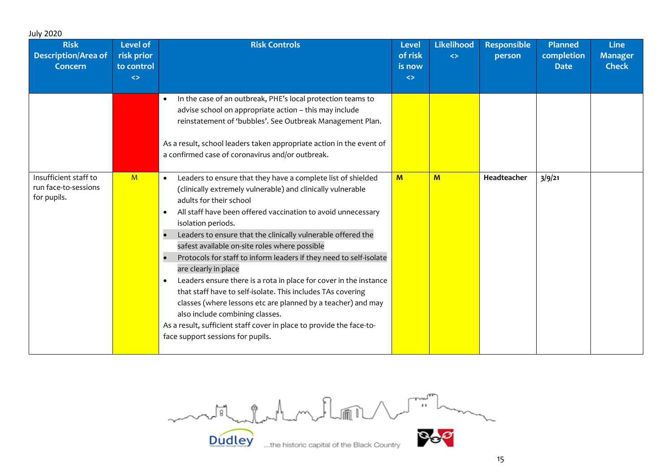| <b>Risk</b><br><b>Description/Area of</b><br><b>Concern</b>  | Level of<br>risk prior<br>to control<br>$\langle \rangle$ | <b>Risk Controls</b>                                                                                                                                                                                                                                                                                                                                                                                                                                                                                                                                                                                                                                                                                                                                                                                                         | <b>Level</b><br>of risk<br>is now<br>$\leftrightarrow$ | <b>Likelihood</b><br>$\leftrightarrow$ | <b>Responsible</b><br>person | <b>Planned</b><br>completion<br><b>Date</b> | <b>Line</b><br><b>Manager</b><br><b>Check</b> |
|--------------------------------------------------------------|-----------------------------------------------------------|------------------------------------------------------------------------------------------------------------------------------------------------------------------------------------------------------------------------------------------------------------------------------------------------------------------------------------------------------------------------------------------------------------------------------------------------------------------------------------------------------------------------------------------------------------------------------------------------------------------------------------------------------------------------------------------------------------------------------------------------------------------------------------------------------------------------------|--------------------------------------------------------|----------------------------------------|------------------------------|---------------------------------------------|-----------------------------------------------|
|                                                              |                                                           | In the case of an outbreak, PHE's local protection teams to<br>$\bullet$<br>advise school on appropriate action - this may include<br>reinstatement of 'bubbles'. See Outbreak Management Plan.<br>As a result, school leaders taken appropriate action in the event of<br>a confirmed case of coronavirus and/or outbreak.                                                                                                                                                                                                                                                                                                                                                                                                                                                                                                  |                                                        |                                        |                              |                                             |                                               |
| Insufficient staff to<br>run face-to-sessions<br>for pupils. | M                                                         | Leaders to ensure that they have a complete list of shielded<br>$\bullet$<br>(clinically extremely vulnerable) and clinically vulnerable<br>adults for their school<br>All staff have been offered vaccination to avoid unnecessary<br>isolation periods.<br>Leaders to ensure that the clinically vulnerable offered the<br>safest available on-site roles where possible<br>Protocols for staff to inform leaders if they need to self-isolate<br>are clearly in place<br>Leaders ensure there is a rota in place for cover in the instance<br>that staff have to self-isolate. This includes TAs covering<br>classes (where lessons etc are planned by a teacher) and may<br>also include combining classes.<br>As a result, sufficient staff cover in place to provide the face-to-<br>face support sessions for pupils. | M                                                      | $\mathbf{M}$                           | Headteacher                  | 3/9/21                                      |                                               |

Dudley the historic capital of the Black Country Dudley ...the historic capital of the Black Country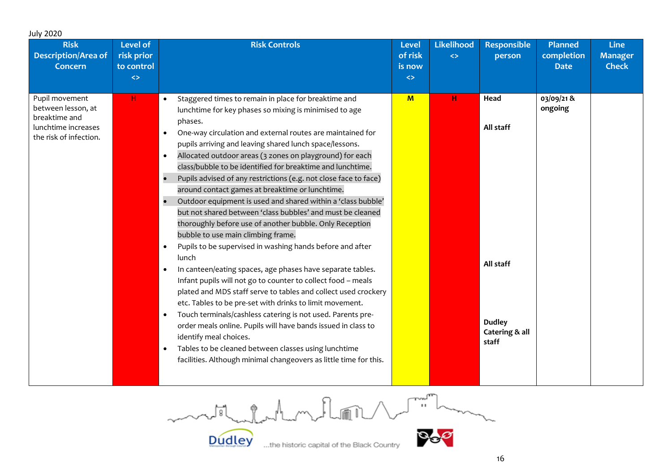| <b>July 2020</b>                                                                                       |                                                                  |                                                                                                                                                                                                                                                                                                                                                                                                                                                                                                                                                                                                                                                                                                                                                                                                                                                                                                                                                                                                                                                                                                                                                                                                                                                                                                                                                                                                                                                                     |                                                 |                                        |                                                                            |                                             |                                               |
|--------------------------------------------------------------------------------------------------------|------------------------------------------------------------------|---------------------------------------------------------------------------------------------------------------------------------------------------------------------------------------------------------------------------------------------------------------------------------------------------------------------------------------------------------------------------------------------------------------------------------------------------------------------------------------------------------------------------------------------------------------------------------------------------------------------------------------------------------------------------------------------------------------------------------------------------------------------------------------------------------------------------------------------------------------------------------------------------------------------------------------------------------------------------------------------------------------------------------------------------------------------------------------------------------------------------------------------------------------------------------------------------------------------------------------------------------------------------------------------------------------------------------------------------------------------------------------------------------------------------------------------------------------------|-------------------------------------------------|----------------------------------------|----------------------------------------------------------------------------|---------------------------------------------|-----------------------------------------------|
| <b>Risk</b><br><b>Description/Area of</b><br><b>Concern</b>                                            | <b>Level of</b><br>risk prior<br>to control<br>$\Leftrightarrow$ | <b>Risk Controls</b>                                                                                                                                                                                                                                                                                                                                                                                                                                                                                                                                                                                                                                                                                                                                                                                                                                                                                                                                                                                                                                                                                                                                                                                                                                                                                                                                                                                                                                                | Level<br>of risk<br>is now<br>$\Leftrightarrow$ | <b>Likelihood</b><br>$\Leftrightarrow$ | <b>Responsible</b><br>person                                               | <b>Planned</b><br>completion<br><b>Date</b> | <b>Line</b><br><b>Manager</b><br><b>Check</b> |
| Pupil movement<br>between lesson, at<br>breaktime and<br>lunchtime increases<br>the risk of infection. | H.                                                               | Staggered times to remain in place for breaktime and<br>$\bullet$<br>lunchtime for key phases so mixing is minimised to age<br>phases.<br>One-way circulation and external routes are maintained for<br>$\bullet$<br>pupils arriving and leaving shared lunch space/lessons.<br>Allocated outdoor areas (3 zones on playground) for each<br>$\bullet$<br>class/bubble to be identified for breaktime and lunchtime.<br>Pupils advised of any restrictions (e.g. not close face to face)<br>around contact games at breaktime or lunchtime.<br>Outdoor equipment is used and shared within a 'class bubble'<br>$\bullet$<br>but not shared between 'class bubbles' and must be cleaned<br>thoroughly before use of another bubble. Only Reception<br>bubble to use main climbing frame.<br>Pupils to be supervised in washing hands before and after<br>$\bullet$<br>lunch<br>In canteen/eating spaces, age phases have separate tables.<br>$\bullet$<br>Infant pupils will not go to counter to collect food - meals<br>plated and MDS staff serve to tables and collect used crockery<br>etc. Tables to be pre-set with drinks to limit movement.<br>Touch terminals/cashless catering is not used. Parents pre-<br>$\bullet$<br>order meals online. Pupils will have bands issued in class to<br>identify meal choices.<br>Tables to be cleaned between classes using lunchtime<br>$\bullet$<br>facilities. Although minimal changeovers as little time for this. | $\mathbf{M}$                                    | н                                      | Head<br>All staff<br>All staff<br><b>Dudley</b><br>Catering & all<br>staff | 03/09/21&<br>ongoing                        |                                               |

 $\begin{picture}(120,115) \put(0,0){\line(1,0){150}} \put(15,0){\line(1,0){150}} \put(15,0){\line(1,0){150}} \put(15,0){\line(1,0){150}} \put(15,0){\line(1,0){150}} \put(15,0){\line(1,0){150}} \put(15,0){\line(1,0){150}} \put(15,0){\line(1,0){150}} \put(15,0){\line(1,0){150}} \put(15,0){\line(1,0){150}} \put(15,0){\line(1,0){150$ model of change of

**Dudley** 



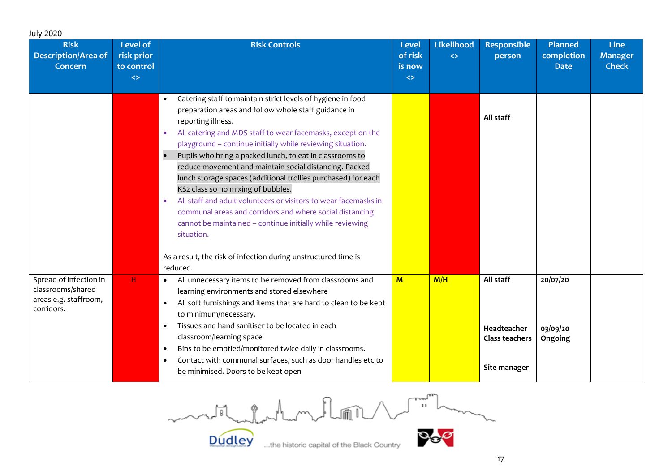| <b>July 2020</b><br><b>Risk</b><br><b>Description/Area of</b><br><b>Concern</b>    | <b>Level of</b><br>risk prior<br>to control<br>$\leftrightarrow$ | <b>Risk Controls</b>                                                                                                                                                                                                                                                                                                                                                                                                                                                                                                                                                                                                                                                                                                                                                                                                               | <b>Level</b><br>of risk<br>is now<br>$\Leftrightarrow$ | <b>Likelihood</b><br>$\leftrightarrow$ | <b>Responsible</b><br>person                               | <b>Planned</b><br>completion<br><b>Date</b> | <b>Line</b><br><b>Manager</b><br><b>Check</b> |
|------------------------------------------------------------------------------------|------------------------------------------------------------------|------------------------------------------------------------------------------------------------------------------------------------------------------------------------------------------------------------------------------------------------------------------------------------------------------------------------------------------------------------------------------------------------------------------------------------------------------------------------------------------------------------------------------------------------------------------------------------------------------------------------------------------------------------------------------------------------------------------------------------------------------------------------------------------------------------------------------------|--------------------------------------------------------|----------------------------------------|------------------------------------------------------------|---------------------------------------------|-----------------------------------------------|
|                                                                                    |                                                                  | Catering staff to maintain strict levels of hygiene in food<br>preparation areas and follow whole staff guidance in<br>reporting illness.<br>All catering and MDS staff to wear facemasks, except on the<br>$\bullet$<br>playground - continue initially while reviewing situation.<br>Pupils who bring a packed lunch, to eat in classrooms to<br>$\bullet$<br>reduce movement and maintain social distancing. Packed<br>lunch storage spaces (additional trollies purchased) for each<br>KS2 class so no mixing of bubbles.<br>All staff and adult volunteers or visitors to wear facemasks in<br>$\bullet$<br>communal areas and corridors and where social distancing<br>cannot be maintained - continue initially while reviewing<br>situation.<br>As a result, the risk of infection during unstructured time is<br>reduced. |                                                        |                                        | All staff                                                  |                                             |                                               |
| Spread of infection in<br>classrooms/shared<br>areas e.g. staffroom,<br>corridors. | н.                                                               | • All unnecessary items to be removed from classrooms and<br>learning environments and stored elsewhere<br>All soft furnishings and items that are hard to clean to be kept<br>$\bullet$<br>to minimum/necessary.<br>Tissues and hand sanitiser to be located in each<br>$\bullet$<br>classroom/learning space<br>Bins to be emptied/monitored twice daily in classrooms.<br>$\bullet$<br>Contact with communal surfaces, such as door handles etc to<br>be minimised. Doors to be kept open                                                                                                                                                                                                                                                                                                                                       | $M$                                                    | M/H                                    | All staff<br>Headteacher<br>Class teachers<br>Site manager | 20/07/20<br>03/09/20<br>Ongoing             |                                               |

 $\begin{picture}(220,20) \put(0,0){\line(1,0){10}} \put(15,0){\line(1,0){10}} \put(15,0){\line(1,0){10}} \put(15,0){\line(1,0){10}} \put(15,0){\line(1,0){10}} \put(15,0){\line(1,0){10}} \put(15,0){\line(1,0){10}} \put(15,0){\line(1,0){10}} \put(15,0){\line(1,0){10}} \put(15,0){\line(1,0){10}} \put(15,0){\line(1,0){10}} \put(15,0){\line($ model aladyment lan

**Dudley**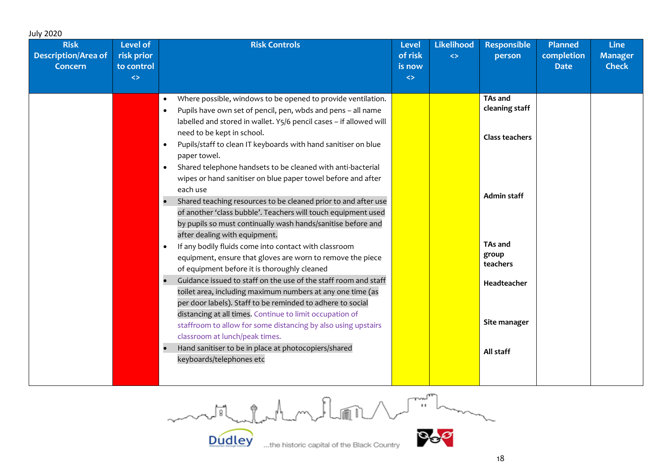| Where possible, windows to be opened to provide ventilation.<br>$\bullet$<br>Pupils have own set of pencil, pen, wbds and pens - all name<br>labelled and stored in wallet. Y5/6 pencil cases - if allowed will<br>need to be kept in school.<br>Pupils/staff to clean IT keyboards with hand sanitiser on blue<br>paper towel.<br>Shared telephone handsets to be cleaned with anti-bacterial<br>$\bullet$<br>wipes or hand sanitiser on blue paper towel before and after<br>each use<br>Shared teaching resources to be cleaned prior to and after use<br>of another 'class bubble'. Teachers will touch equipment used<br>by pupils so must continually wash hands/sanitise before and<br>after dealing with equipment.<br>If any bodily fluids come into contact with classroom<br>$\bullet$<br>group<br>equipment, ensure that gloves are worn to remove the piece<br>of equipment before it is thoroughly cleaned<br>Guidance issued to staff on the use of the staff room and staff<br>toilet area, including maximum numbers at any one time (as | <b>Planned</b><br>completion<br><b>Date</b> | <b>Likelihood</b><br><b>Responsible</b><br>$\Leftrightarrow$<br>person<br>is now | <b>Line</b><br><b>Manager</b><br><b>Check</b> |
|-----------------------------------------------------------------------------------------------------------------------------------------------------------------------------------------------------------------------------------------------------------------------------------------------------------------------------------------------------------------------------------------------------------------------------------------------------------------------------------------------------------------------------------------------------------------------------------------------------------------------------------------------------------------------------------------------------------------------------------------------------------------------------------------------------------------------------------------------------------------------------------------------------------------------------------------------------------------------------------------------------------------------------------------------------------|---------------------------------------------|----------------------------------------------------------------------------------|-----------------------------------------------|
|                                                                                                                                                                                                                                                                                                                                                                                                                                                                                                                                                                                                                                                                                                                                                                                                                                                                                                                                                                                                                                                           |                                             | TAs and<br>cleaning staff                                                        |                                               |
|                                                                                                                                                                                                                                                                                                                                                                                                                                                                                                                                                                                                                                                                                                                                                                                                                                                                                                                                                                                                                                                           |                                             | <b>Class teachers</b>                                                            |                                               |
|                                                                                                                                                                                                                                                                                                                                                                                                                                                                                                                                                                                                                                                                                                                                                                                                                                                                                                                                                                                                                                                           |                                             | <b>Admin staff</b>                                                               |                                               |
|                                                                                                                                                                                                                                                                                                                                                                                                                                                                                                                                                                                                                                                                                                                                                                                                                                                                                                                                                                                                                                                           |                                             | TAs and<br>teachers                                                              |                                               |
| per door labels). Staff to be reminded to adhere to social<br>distancing at all times. Continue to limit occupation of                                                                                                                                                                                                                                                                                                                                                                                                                                                                                                                                                                                                                                                                                                                                                                                                                                                                                                                                    |                                             | Headteacher                                                                      |                                               |
| staffroom to allow for some distancing by also using upstairs<br>classroom at lunch/peak times.<br>Hand sanitiser to be in place at photocopiers/shared<br>keyboards/telephones etc                                                                                                                                                                                                                                                                                                                                                                                                                                                                                                                                                                                                                                                                                                                                                                                                                                                                       |                                             | Site manager<br>All staff                                                        |                                               |

model for the method of the method

**Dudley**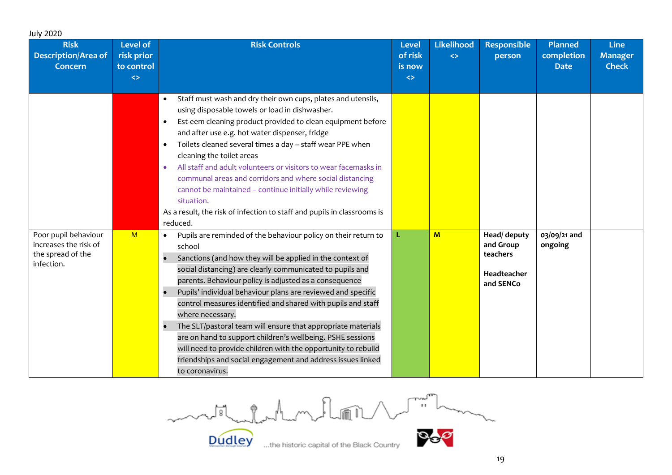| <b>July 2020</b>                                                                 |                                                                  |                                                                                                                                                                                                                                                                                                                                                                                                                                                                                                                                                                                                                                                                                                                |                                                        |                                        |                                                                   |                                      |                                               |
|----------------------------------------------------------------------------------|------------------------------------------------------------------|----------------------------------------------------------------------------------------------------------------------------------------------------------------------------------------------------------------------------------------------------------------------------------------------------------------------------------------------------------------------------------------------------------------------------------------------------------------------------------------------------------------------------------------------------------------------------------------------------------------------------------------------------------------------------------------------------------------|--------------------------------------------------------|----------------------------------------|-------------------------------------------------------------------|--------------------------------------|-----------------------------------------------|
| <b>Risk</b><br><b>Description/Area of</b><br><b>Concern</b>                      | <b>Level of</b><br>risk prior<br>to control<br>$\leftrightarrow$ | <b>Risk Controls</b>                                                                                                                                                                                                                                                                                                                                                                                                                                                                                                                                                                                                                                                                                           | <b>Level</b><br>of risk<br>is now<br>$\Leftrightarrow$ | <b>Likelihood</b><br>$\leftrightarrow$ | <b>Responsible</b><br>person                                      | Planned<br>completion<br><b>Date</b> | <b>Line</b><br><b>Manager</b><br><b>Check</b> |
|                                                                                  |                                                                  | Staff must wash and dry their own cups, plates and utensils,<br>$\bullet$<br>using disposable towels or load in dishwasher.<br>Est-eem cleaning product provided to clean equipment before<br>$\bullet$<br>and after use e.g. hot water dispenser, fridge<br>Toilets cleaned several times a day - staff wear PPE when<br>$\bullet$<br>cleaning the toilet areas<br>All staff and adult volunteers or visitors to wear facemasks in<br>$\bullet$<br>communal areas and corridors and where social distancing<br>cannot be maintained - continue initially while reviewing<br>situation.<br>As a result, the risk of infection to staff and pupils in classrooms is<br>reduced.                                 |                                                        |                                        |                                                                   |                                      |                                               |
| Poor pupil behaviour<br>increases the risk of<br>the spread of the<br>infection. | M                                                                | Pupils are reminded of the behaviour policy on their return to<br>$\bullet$<br>school<br>Sanctions (and how they will be applied in the context of<br>social distancing) are clearly communicated to pupils and<br>parents. Behaviour policy is adjusted as a consequence<br>Pupils' individual behaviour plans are reviewed and specific<br>control measures identified and shared with pupils and staff<br>where necessary.<br>The SLT/pastoral team will ensure that appropriate materials<br>are on hand to support children's wellbeing. PSHE sessions<br>will need to provide children with the opportunity to rebuild<br>friendships and social engagement and address issues linked<br>to coronavirus. | L.                                                     | M                                      | Head/ deputy<br>and Group<br>teachers<br>Headteacher<br>and SENCo | 03/09/21 and<br>ongoing              |                                               |

medicine de la medicina de la medicina  $\mathcal{P}_\epsilon$ 

**Dudley**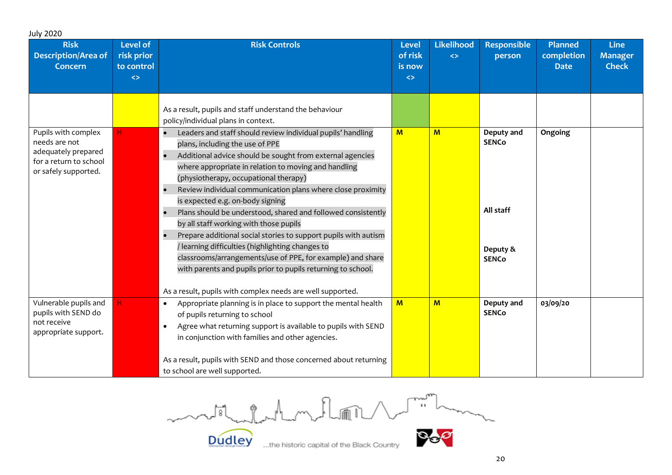| <b>July 2020</b>                                                                                              |                                                                  |                                                                                                                                                                                                                                                                                                                                                                                                                                                                                                                                                                                                                                                                                                                                                                                              |                                                        |                                        |                                                                     |                                             |                                               |
|---------------------------------------------------------------------------------------------------------------|------------------------------------------------------------------|----------------------------------------------------------------------------------------------------------------------------------------------------------------------------------------------------------------------------------------------------------------------------------------------------------------------------------------------------------------------------------------------------------------------------------------------------------------------------------------------------------------------------------------------------------------------------------------------------------------------------------------------------------------------------------------------------------------------------------------------------------------------------------------------|--------------------------------------------------------|----------------------------------------|---------------------------------------------------------------------|---------------------------------------------|-----------------------------------------------|
| <b>Risk</b><br><b>Description/Area of</b><br><b>Concern</b>                                                   | <b>Level of</b><br>risk prior<br>to control<br>$\leftrightarrow$ | <b>Risk Controls</b>                                                                                                                                                                                                                                                                                                                                                                                                                                                                                                                                                                                                                                                                                                                                                                         | <b>Level</b><br>of risk<br>is now<br>$\Leftrightarrow$ | <b>Likelihood</b><br>$\leftrightarrow$ | <b>Responsible</b><br>person                                        | <b>Planned</b><br>completion<br><b>Date</b> | <b>Line</b><br><b>Manager</b><br><b>Check</b> |
|                                                                                                               |                                                                  | As a result, pupils and staff understand the behaviour<br>policy/individual plans in context.                                                                                                                                                                                                                                                                                                                                                                                                                                                                                                                                                                                                                                                                                                |                                                        |                                        |                                                                     |                                             |                                               |
| Pupils with complex<br>needs are not<br>adequately prepared<br>for a return to school<br>or safely supported. | H                                                                | Leaders and staff should review individual pupils' handling<br>plans, including the use of PPE<br>Additional advice should be sought from external agencies<br>where appropriate in relation to moving and handling<br>(physiotherapy, occupational therapy)<br>Review individual communication plans where close proximity<br>is expected e.g. on-body signing<br>Plans should be understood, shared and followed consistently<br>by all staff working with those pupils<br>Prepare additional social stories to support pupils with autism<br>/ learning difficulties (highlighting changes to<br>classrooms/arrangements/use of PPE, for example) and share<br>with parents and pupils prior to pupils returning to school.<br>As a result, pupils with complex needs are well supported. | $\mathbf{M}$                                           | $\mathbf{M}$                           | Deputy and<br><b>SENCo</b><br>All staff<br>Deputy &<br><b>SENCo</b> | Ongoing                                     |                                               |
| Vulnerable pupils and<br>pupils with SEND do<br>not receive<br>appropriate support.                           | Н.                                                               | Appropriate planning is in place to support the mental health<br>$\bullet$<br>of pupils returning to school<br>Agree what returning support is available to pupils with SEND<br>in conjunction with families and other agencies.<br>As a result, pupils with SEND and those concerned about returning<br>to school are well supported.                                                                                                                                                                                                                                                                                                                                                                                                                                                       | M                                                      | M                                      | Deputy and<br><b>SENCo</b>                                          | 03/09/20                                    |                                               |

 $\begin{picture}(120,115) \put(0,0){\line(1,0){155}} \put(15,0){\line(1,0){155}} \put(15,0){\line(1,0){155}} \put(15,0){\line(1,0){155}} \put(15,0){\line(1,0){155}} \put(15,0){\line(1,0){155}} \put(15,0){\line(1,0){155}} \put(15,0){\line(1,0){155}} \put(15,0){\line(1,0){155}} \put(15,0){\line(1,0){155}} \put(15,0){\line(1,0){155$ model and my floor

**Dudley**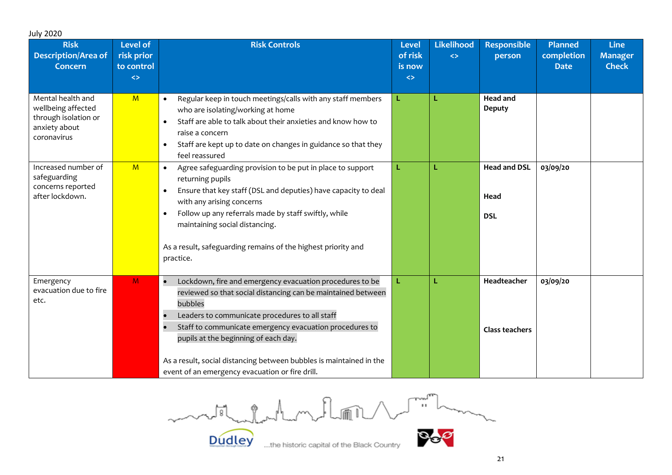| <b>July 2020</b>                                                                                |                                                                  |                                                                                                                                                                                                                                                                                                                                                                                                                    |                                                        |                                        |                                           |                                             |                                               |
|-------------------------------------------------------------------------------------------------|------------------------------------------------------------------|--------------------------------------------------------------------------------------------------------------------------------------------------------------------------------------------------------------------------------------------------------------------------------------------------------------------------------------------------------------------------------------------------------------------|--------------------------------------------------------|----------------------------------------|-------------------------------------------|---------------------------------------------|-----------------------------------------------|
| <b>Risk</b><br><b>Description/Area of</b><br><b>Concern</b>                                     | <b>Level of</b><br>risk prior<br>to control<br>$\leftrightarrow$ | <b>Risk Controls</b>                                                                                                                                                                                                                                                                                                                                                                                               | <b>Level</b><br>of risk<br>is now<br>$\Leftrightarrow$ | <b>Likelihood</b><br>$\leftrightarrow$ | <b>Responsible</b><br>person              | <b>Planned</b><br>completion<br><b>Date</b> | <b>Line</b><br><b>Manager</b><br><b>Check</b> |
| Mental health and<br>wellbeing affected<br>through isolation or<br>anxiety about<br>coronavirus | M                                                                | Regular keep in touch meetings/calls with any staff members<br>who are isolating/working at home<br>Staff are able to talk about their anxieties and know how to<br>raise a concern<br>Staff are kept up to date on changes in guidance so that they<br>$\bullet$<br>feel reassured                                                                                                                                | L                                                      | L                                      | <b>Head and</b><br><b>Deputy</b>          |                                             |                                               |
| Increased number of<br>safeguarding<br>concerns reported<br>after lockdown.                     | M                                                                | Agree safeguarding provision to be put in place to support<br>$\bullet$<br>returning pupils<br>Ensure that key staff (DSL and deputies) have capacity to deal<br>with any arising concerns<br>Follow up any referrals made by staff swiftly, while<br>$\bullet$<br>maintaining social distancing.<br>As a result, safeguarding remains of the highest priority and<br>practice.                                    | L                                                      | L                                      | <b>Head and DSL</b><br>Head<br><b>DSL</b> | 03/09/20                                    |                                               |
| Emergency<br>evacuation due to fire<br>etc.                                                     | M                                                                | Lockdown, fire and emergency evacuation procedures to be<br>reviewed so that social distancing can be maintained between<br>bubbles<br>Leaders to communicate procedures to all staff<br>Staff to communicate emergency evacuation procedures to<br>pupils at the beginning of each day.<br>As a result, social distancing between bubbles is maintained in the<br>event of an emergency evacuation or fire drill. | L                                                      | L                                      | Headteacher<br><b>Class teachers</b>      | 03/09/20                                    |                                               |

model chathanhum florid 1 million

**Dudley** 

 $21$ 

P.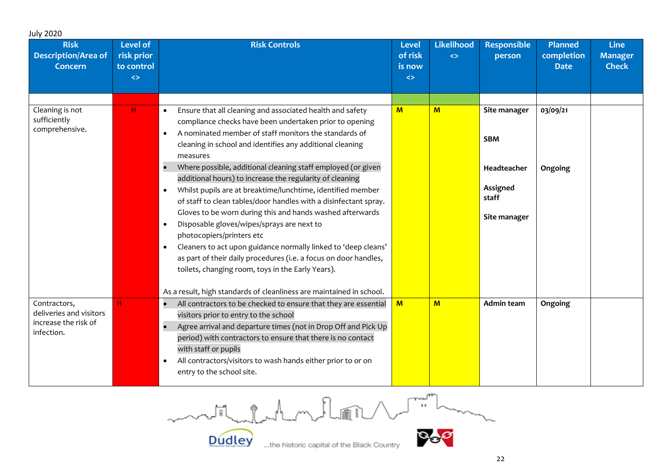| <b>July 2020</b><br><b>Risk</b><br><b>Description/Area of</b><br><b>Concern</b> | <b>Level of</b><br>risk prior<br>to control<br>$\leftrightarrow$ | <b>Risk Controls</b>                                                                                                                                                                                                                                                                                                                                                                                                                                                                                                                                                                                                                                                                                                                                                                                                                                                                                                                                                                 | <b>Level</b><br>of risk<br>is now<br>$\leftrightarrow$ | <b>Likelihood</b><br>$\leftrightarrow$ | <b>Responsible</b><br>person                                                   | <b>Planned</b><br>completion<br><b>Date</b> | <b>Line</b><br><b>Manager</b><br><b>Check</b> |
|---------------------------------------------------------------------------------|------------------------------------------------------------------|--------------------------------------------------------------------------------------------------------------------------------------------------------------------------------------------------------------------------------------------------------------------------------------------------------------------------------------------------------------------------------------------------------------------------------------------------------------------------------------------------------------------------------------------------------------------------------------------------------------------------------------------------------------------------------------------------------------------------------------------------------------------------------------------------------------------------------------------------------------------------------------------------------------------------------------------------------------------------------------|--------------------------------------------------------|----------------------------------------|--------------------------------------------------------------------------------|---------------------------------------------|-----------------------------------------------|
| Cleaning is not<br>sufficiently<br>comprehensive.                               | H                                                                | Ensure that all cleaning and associated health and safety<br>$\bullet$<br>compliance checks have been undertaken prior to opening<br>A nominated member of staff monitors the standards of<br>cleaning in school and identifies any additional cleaning<br>measures<br>Where possible, additional cleaning staff employed (or given<br>$\bullet$<br>additional hours) to increase the regularity of cleaning<br>Whilst pupils are at breaktime/lunchtime, identified member<br>$\bullet$<br>of staff to clean tables/door handles with a disinfectant spray.<br>Gloves to be worn during this and hands washed afterwards<br>Disposable gloves/wipes/sprays are next to<br>$\bullet$<br>photocopiers/printers etc<br>Cleaners to act upon guidance normally linked to 'deep cleans'<br>as part of their daily procedures (i.e. a focus on door handles,<br>toilets, changing room, toys in the Early Years).<br>As a result, high standards of cleanliness are maintained in school. | $M$                                                    | M                                      | Site manager<br><b>SBM</b><br>Headteacher<br>Assigned<br>staff<br>Site manager | 03/09/21<br>Ongoing                         |                                               |
| Contractors,<br>deliveries and visitors<br>increase the risk of<br>infection.   | н.                                                               | All contractors to be checked to ensure that they are essential<br>$\bullet$<br>visitors prior to entry to the school<br>Agree arrival and departure times (not in Drop Off and Pick Up<br>period) with contractors to ensure that there is no contact<br>with staff or pupils<br>All contractors/visitors to wash hands either prior to or on<br>$\bullet$<br>entry to the school site.                                                                                                                                                                                                                                                                                                                                                                                                                                                                                                                                                                                             | $\overline{M}$                                         | M                                      | <b>Admin team</b>                                                              | Ongoing                                     |                                               |

 $\begin{picture}(120,115) \put(0,0){\line(1,0){155}} \put(15,0){\line(1,0){155}} \put(15,0){\line(1,0){155}} \put(15,0){\line(1,0){155}} \put(15,0){\line(1,0){155}} \put(15,0){\line(1,0){155}} \put(15,0){\line(1,0){155}} \put(15,0){\line(1,0){155}} \put(15,0){\line(1,0){155}} \put(15,0){\line(1,0){155}} \put(15,0){\line(1,0){155$ month del montion

**Dudley**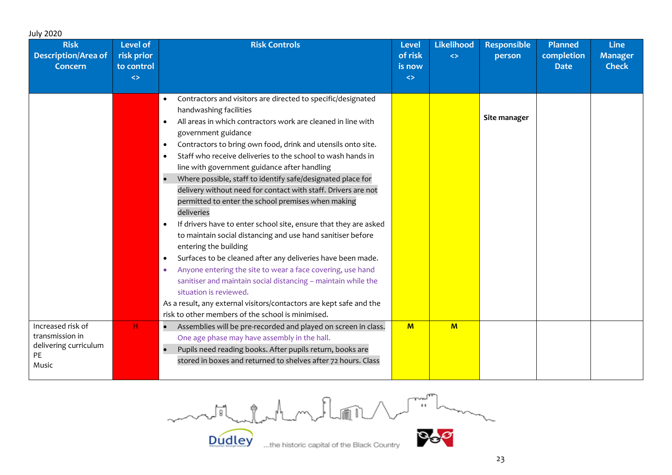| <b>July 2020</b>                                            |                                                                  |                                                                               |                                                        |                                        |                              |                                             |                                               |
|-------------------------------------------------------------|------------------------------------------------------------------|-------------------------------------------------------------------------------|--------------------------------------------------------|----------------------------------------|------------------------------|---------------------------------------------|-----------------------------------------------|
| <b>Risk</b><br><b>Description/Area of</b><br><b>Concern</b> | <b>Level of</b><br>risk prior<br>to control<br>$\leftrightarrow$ | <b>Risk Controls</b>                                                          | <b>Level</b><br>of risk<br>is now<br>$\Leftrightarrow$ | <b>Likelihood</b><br>$\Leftrightarrow$ | <b>Responsible</b><br>person | <b>Planned</b><br>completion<br><b>Date</b> | <b>Line</b><br><b>Manager</b><br><b>Check</b> |
|                                                             |                                                                  |                                                                               |                                                        |                                        |                              |                                             |                                               |
|                                                             |                                                                  | Contractors and visitors are directed to specific/designated<br>$\bullet$     |                                                        |                                        |                              |                                             |                                               |
|                                                             |                                                                  | handwashing facilities                                                        |                                                        |                                        |                              |                                             |                                               |
|                                                             |                                                                  | All areas in which contractors work are cleaned in line with                  |                                                        |                                        | Site manager                 |                                             |                                               |
|                                                             |                                                                  | government guidance                                                           |                                                        |                                        |                              |                                             |                                               |
|                                                             |                                                                  | Contractors to bring own food, drink and utensils onto site.<br>$\bullet$     |                                                        |                                        |                              |                                             |                                               |
|                                                             |                                                                  | Staff who receive deliveries to the school to wash hands in<br>$\bullet$      |                                                        |                                        |                              |                                             |                                               |
|                                                             |                                                                  | line with government guidance after handling                                  |                                                        |                                        |                              |                                             |                                               |
|                                                             |                                                                  | Where possible, staff to identify safe/designated place for<br>$\bullet$      |                                                        |                                        |                              |                                             |                                               |
|                                                             |                                                                  | delivery without need for contact with staff. Drivers are not                 |                                                        |                                        |                              |                                             |                                               |
|                                                             |                                                                  | permitted to enter the school premises when making                            |                                                        |                                        |                              |                                             |                                               |
|                                                             |                                                                  | deliveries                                                                    |                                                        |                                        |                              |                                             |                                               |
|                                                             |                                                                  | If drivers have to enter school site, ensure that they are asked<br>$\bullet$ |                                                        |                                        |                              |                                             |                                               |
|                                                             |                                                                  | to maintain social distancing and use hand sanitiser before                   |                                                        |                                        |                              |                                             |                                               |
|                                                             |                                                                  | entering the building                                                         |                                                        |                                        |                              |                                             |                                               |
|                                                             |                                                                  | Surfaces to be cleaned after any deliveries have been made.<br>$\bullet$      |                                                        |                                        |                              |                                             |                                               |
|                                                             |                                                                  | Anyone entering the site to wear a face covering, use hand<br>$\bullet$       |                                                        |                                        |                              |                                             |                                               |
|                                                             |                                                                  | sanitiser and maintain social distancing - maintain while the                 |                                                        |                                        |                              |                                             |                                               |
|                                                             |                                                                  | situation is reviewed.                                                        |                                                        |                                        |                              |                                             |                                               |
|                                                             |                                                                  | As a result, any external visitors/contactors are kept safe and the           |                                                        |                                        |                              |                                             |                                               |
|                                                             |                                                                  | risk to other members of the school is minimised.                             |                                                        |                                        |                              |                                             |                                               |
| Increased risk of<br>transmission in                        | н.                                                               | Assemblies will be pre-recorded and played on screen in class.                | $M$                                                    | M                                      |                              |                                             |                                               |
| delivering curriculum                                       |                                                                  | One age phase may have assembly in the hall.                                  |                                                        |                                        |                              |                                             |                                               |
| <b>PE</b>                                                   |                                                                  | Pupils need reading books. After pupils return, books are                     |                                                        |                                        |                              |                                             |                                               |
| Music                                                       |                                                                  | stored in boxes and returned to shelves after 72 hours. Class                 |                                                        |                                        |                              |                                             |                                               |
|                                                             |                                                                  |                                                                               |                                                        |                                        |                              |                                             |                                               |

 $\begin{picture}(120,115) \put(0,0){\line(1,0){155}} \put(15,0){\line(1,0){155}} \put(15,0){\line(1,0){155}} \put(15,0){\line(1,0){155}} \put(15,0){\line(1,0){155}} \put(15,0){\line(1,0){155}} \put(15,0){\line(1,0){155}} \put(15,0){\line(1,0){155}} \put(15,0){\line(1,0){155}} \put(15,0){\line(1,0){155}} \put(15,0){\line(1,0){155$ model aladyment limit

**Dudley**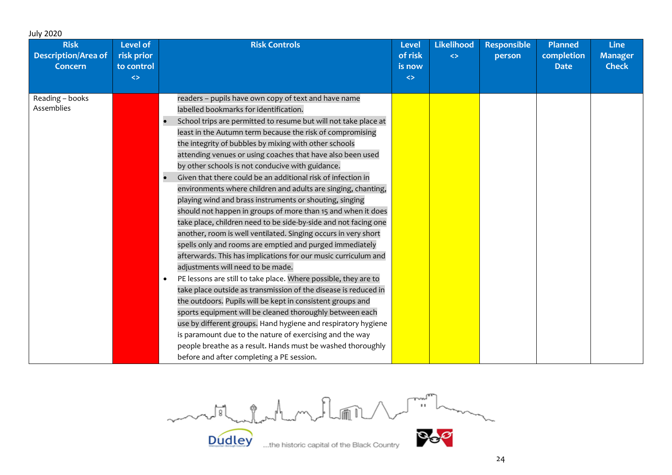| <b>Planned</b><br>completion<br><b>Date</b> | <b>Line</b><br><b>Manager</b><br><b>Check</b> |  |
|---------------------------------------------|-----------------------------------------------|--|
|                                             |                                               |  |
|                                             |                                               |  |
|                                             |                                               |  |

model chatantum, Roman 1 Q.

**Dudley**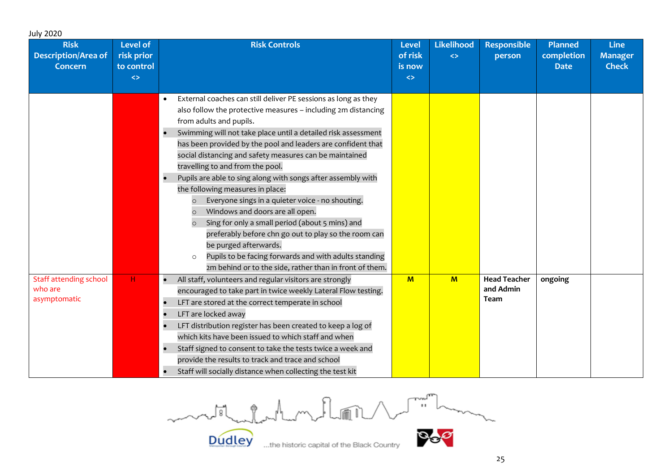| <b>Risk</b><br><b>Description/Area of</b><br><b>Concern</b> | <b>Level of</b><br>risk prior<br>to control<br>$\leftrightarrow$ | <b>Risk Controls</b>                                                                                                                                                                                                                                                                                                                                                                                                                                                                                                                                                                                                                                                                                                                                                                                                                                     | <b>Level</b><br>of risk<br>is now<br>$\Leftrightarrow$ | <b>Likelihood</b><br>$\Leftrightarrow$ | <b>Responsible</b><br>person                    | <b>Planned</b><br>completion<br><b>Date</b> | <b>Line</b><br><b>Manager</b><br><b>Check</b> |
|-------------------------------------------------------------|------------------------------------------------------------------|----------------------------------------------------------------------------------------------------------------------------------------------------------------------------------------------------------------------------------------------------------------------------------------------------------------------------------------------------------------------------------------------------------------------------------------------------------------------------------------------------------------------------------------------------------------------------------------------------------------------------------------------------------------------------------------------------------------------------------------------------------------------------------------------------------------------------------------------------------|--------------------------------------------------------|----------------------------------------|-------------------------------------------------|---------------------------------------------|-----------------------------------------------|
|                                                             |                                                                  | External coaches can still deliver PE sessions as long as they<br>also follow the protective measures - including 2m distancing<br>from adults and pupils.<br>Swimming will not take place until a detailed risk assessment<br>has been provided by the pool and leaders are confident that<br>social distancing and safety measures can be maintained<br>travelling to and from the pool.<br>Pupils are able to sing along with songs after assembly with<br>the following measures in place:<br>Everyone sings in a quieter voice - no shouting.<br>Windows and doors are all open.<br>Sing for only a small period (about 5 mins) and<br>preferably before chn go out to play so the room can<br>be purged afterwards.<br>Pupils to be facing forwards and with adults standing<br>$\circ$<br>2m behind or to the side, rather than in front of them. |                                                        |                                        |                                                 |                                             |                                               |
| Staff attending school<br>who are<br>asymptomatic           | H                                                                | All staff, volunteers and regular visitors are strongly<br>encouraged to take part in twice weekly Lateral Flow testing.<br>LFT are stored at the correct temperate in school<br>LFT are locked away<br>LFT distribution register has been created to keep a log of<br>which kits have been issued to which staff and when<br>Staff signed to consent to take the tests twice a week and<br>provide the results to track and trace and school<br>Staff will socially distance when collecting the test kit                                                                                                                                                                                                                                                                                                                                               | $M$                                                    | $\mathbf{M}$                           | <b>Head Teacher</b><br>and Admin<br><b>Team</b> | ongoing                                     |                                               |

Dudley the historic capital of the Black Country

**Dudley**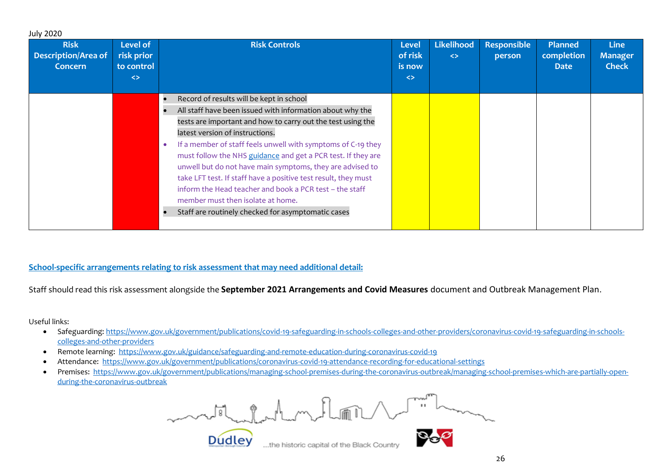| <b>Risk</b><br>Description/Area of<br><b>Concern</b> | Level of<br>risk prior<br>to control<br>$\leftrightarrow$ | <b>Risk Controls</b>                                                                                                                                                                                                                                                                                                                                                                                                                                                                                                                                                                                                         | <b>Level</b><br>of risk<br>is now<br>$\Leftrightarrow$ | Likelihood<br>$\left\langle \right\rangle$ | <b>Responsible</b><br>person | <b>Planned</b><br>completion<br><b>Date</b> | <b>Line</b><br><b>Manager</b><br><b>Check</b> |
|------------------------------------------------------|-----------------------------------------------------------|------------------------------------------------------------------------------------------------------------------------------------------------------------------------------------------------------------------------------------------------------------------------------------------------------------------------------------------------------------------------------------------------------------------------------------------------------------------------------------------------------------------------------------------------------------------------------------------------------------------------------|--------------------------------------------------------|--------------------------------------------|------------------------------|---------------------------------------------|-----------------------------------------------|
|                                                      |                                                           | Record of results will be kept in school<br>All staff have been issued with information about why the<br>tests are important and how to carry out the test using the<br>latest version of instructions.<br>If a member of staff feels unwell with symptoms of C-19 they<br>must follow the NHS guidance and get a PCR test. If they are<br>unwell but do not have main symptoms, they are advised to<br>take LFT test. If staff have a positive test result, they must<br>inform the Head teacher and book a PCR test - the staff<br>member must then isolate at home.<br>Staff are routinely checked for asymptomatic cases |                                                        |                                            |                              |                                             |                                               |

#### **School-specific arrangements relating to risk assessment that may need additional detail:**

Staff should read this risk assessment alongside the **September 2021 Arrangements and Covid Measures** document and Outbreak Management Plan.

Useful links:

July 2020

- Safeguarding: [https://www.gov.uk/government/publications/covid-19-safeguarding-in-schools-colleges-and-other-providers/coronavirus-covid-19-safeguarding-in-schools](https://www.gov.uk/government/publications/covid-19-safeguarding-in-schools-colleges-and-other-providers/coronavirus-covid-19-safeguarding-in-schools-colleges-and-other-providers)[colleges-and-other-providers](https://www.gov.uk/government/publications/covid-19-safeguarding-in-schools-colleges-and-other-providers/coronavirus-covid-19-safeguarding-in-schools-colleges-and-other-providers)
- Remote learning: <https://www.gov.uk/guidance/safeguarding-and-remote-education-during-coronavirus-covid-19>
- Attendance:<https://www.gov.uk/government/publications/coronavirus-covid-19-attendance-recording-for-educational-settings>
- Premises: [https://www.gov.uk/government/publications/managing-school-premises-during-the-coronavirus-outbreak/managing-school-premises-which-are-partially-open](https://www.gov.uk/government/publications/managing-school-premises-during-the-coronavirus-outbreak/managing-school-premises-which-are-partially-open-during-the-coronavirus-outbreak)[during-the-coronavirus-outbreak](https://www.gov.uk/government/publications/managing-school-premises-during-the-coronavirus-outbreak/managing-school-premises-which-are-partially-open-during-the-coronavirus-outbreak)

 $\sqrt{1 - \frac{1}{2}}$ mental charles them